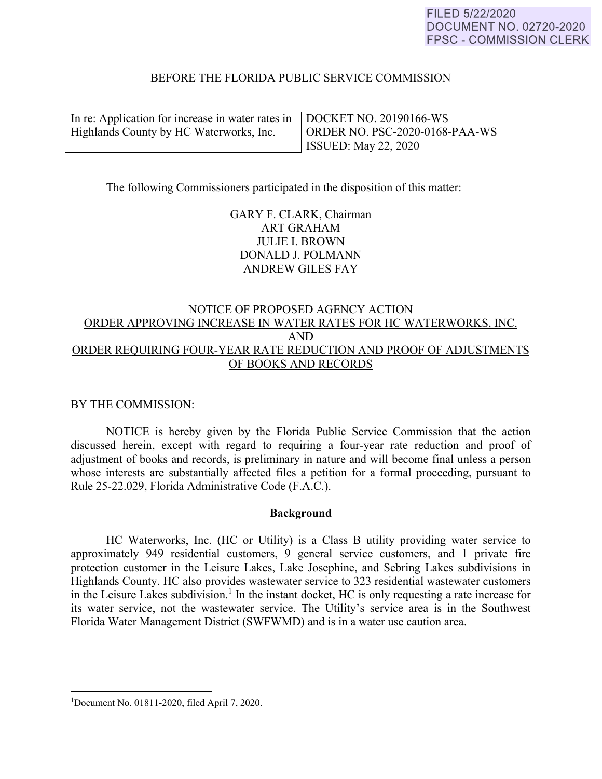## BEFORE THE FLORIDA PUBLIC SERVICE COMMISSION

In re: Application for increase in water rates in Highlands County by HC Waterworks, Inc.

DOCKET NO. 20190166-WS ORDER NO. PSC-2020-0168-PAA-WS ISSUED: May 22, 2020

The following Commissioners participated in the disposition of this matter:

GARY F. CLARK, Chairman ART GRAHAM JULIE I. BROWN DONALD J. POLMANN ANDREW GILES FAY

# NOTICE OF PROPOSED AGENCY ACTION ORDER APPROVING INCREASE IN WATER RATES FOR HC WATERWORKS, INC. AND ORDER REQUIRING FOUR-YEAR RATE REDUCTION AND PROOF OF ADJUSTMENTS OF BOOKS AND RECORDS

BY THE COMMISSION:

 NOTICE is hereby given by the Florida Public Service Commission that the action discussed herein, except with regard to requiring a four-year rate reduction and proof of adjustment of books and records, is preliminary in nature and will become final unless a person whose interests are substantially affected files a petition for a formal proceeding, pursuant to Rule 25-22.029, Florida Administrative Code (F.A.C.).

#### **Background**

 HC Waterworks, Inc. (HC or Utility) is a Class B utility providing water service to approximately 949 residential customers, 9 general service customers, and 1 private fire protection customer in the Leisure Lakes, Lake Josephine, and Sebring Lakes subdivisions in Highlands County. HC also provides wastewater service to 323 residential wastewater customers in the Leisure Lakes subdivision.<sup>1</sup> In the instant docket, HC is only requesting a rate increase for its water service, not the wastewater service. The Utility's service area is in the Southwest Florida Water Management District (SWFWMD) and is in a water use caution area.

 $\overline{a}$ 

<sup>1</sup> Document No. 01811-2020, filed April 7, 2020.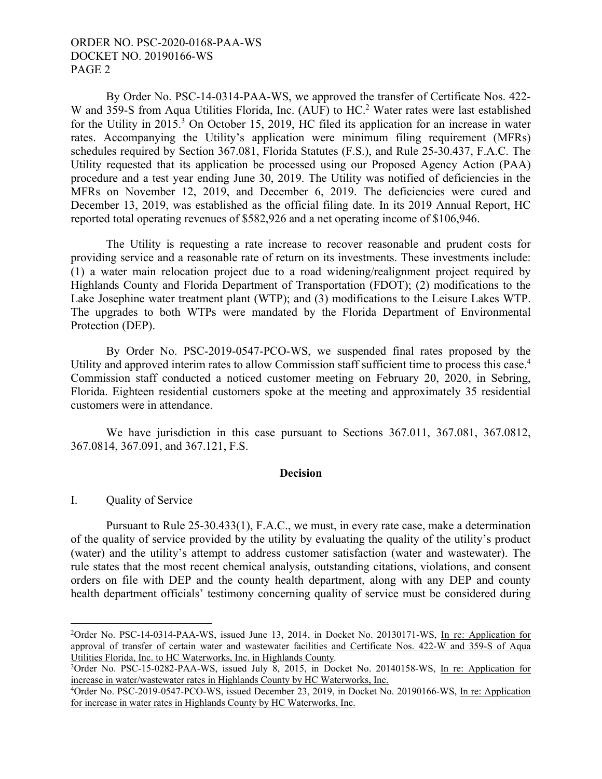By Order No. PSC-14-0314-PAA-WS, we approved the transfer of Certificate Nos. 422- W and 359-S from Aqua Utilities Florida, Inc. (AUF) to HC.<sup>2</sup> Water rates were last established for the Utility in 2015.<sup>3</sup> On October 15, 2019, HC filed its application for an increase in water rates. Accompanying the Utility's application were minimum filing requirement (MFRs) schedules required by Section 367.081, Florida Statutes (F.S.), and Rule 25-30.437, F.A.C. The Utility requested that its application be processed using our Proposed Agency Action (PAA) procedure and a test year ending June 30, 2019. The Utility was notified of deficiencies in the MFRs on November 12, 2019, and December 6, 2019. The deficiencies were cured and December 13, 2019, was established as the official filing date. In its 2019 Annual Report, HC reported total operating revenues of \$582,926 and a net operating income of \$106,946.

 The Utility is requesting a rate increase to recover reasonable and prudent costs for providing service and a reasonable rate of return on its investments. These investments include: (1) a water main relocation project due to a road widening/realignment project required by Highlands County and Florida Department of Transportation (FDOT); (2) modifications to the Lake Josephine water treatment plant (WTP); and (3) modifications to the Leisure Lakes WTP. The upgrades to both WTPs were mandated by the Florida Department of Environmental Protection (DEP).

 By Order No. PSC-2019-0547-PCO-WS, we suspended final rates proposed by the Utility and approved interim rates to allow Commission staff sufficient time to process this case.<sup>4</sup> Commission staff conducted a noticed customer meeting on February 20, 2020, in Sebring, Florida. Eighteen residential customers spoke at the meeting and approximately 35 residential customers were in attendance.

We have jurisdiction in this case pursuant to Sections 367.011, 367.081, 367.0812, 367.0814, 367.091, and 367.121, F.S.

#### **Decision**

## I. Quality of Service

 $\overline{a}$ 

Pursuant to Rule 25-30.433(1), F.A.C., we must, in every rate case, make a determination of the quality of service provided by the utility by evaluating the quality of the utility's product (water) and the utility's attempt to address customer satisfaction (water and wastewater). The rule states that the most recent chemical analysis, outstanding citations, violations, and consent orders on file with DEP and the county health department, along with any DEP and county health department officials' testimony concerning quality of service must be considered during

<sup>&</sup>lt;sup>2</sup>Order No. PSC-14-0314-PAA-WS, issued June 13, 2014, in Docket No. 20130171-WS, In re: Application for approval of transfer of certain water and wastewater facilities and Certificate Nos. 422-W and 359-S of Aqua Utilities Florida, Inc. to HC Waterworks, Inc. in Highlands County*.*

<sup>&</sup>lt;sup>3</sup>Order No. PSC-15-0282-PAA-WS, issued July 8, 2015, in Docket No. 20140158-WS, In re: Application for increase in water/wastewater rates in Highlands County by HC Waterworks, Inc.

<sup>&</sup>lt;sup>4</sup>Order No. PSC-2019-0547-PCO-WS, issued December 23, 2019, in Docket No. 20190166-WS, In re: Application for increase in water rates in Highlands County by HC Waterworks, Inc.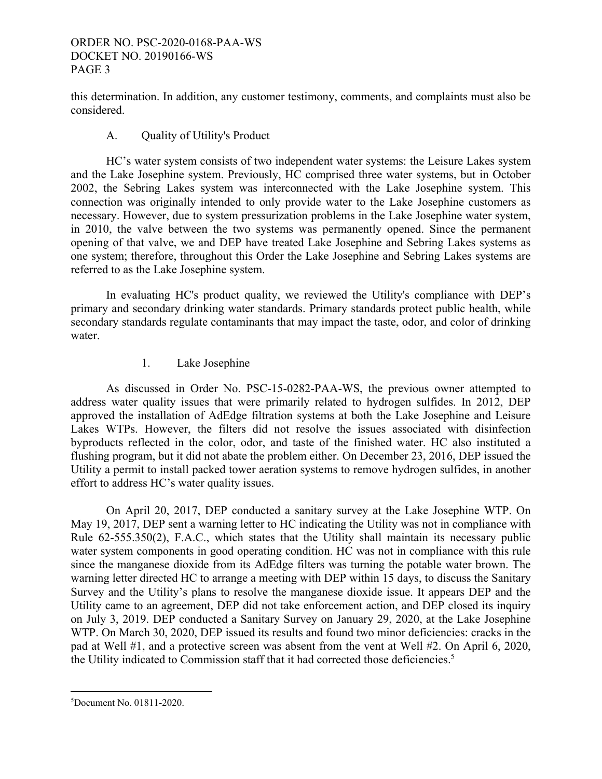this determination. In addition, any customer testimony, comments, and complaints must also be considered.

## A. Quality of Utility's Product

 HC's water system consists of two independent water systems: the Leisure Lakes system and the Lake Josephine system. Previously, HC comprised three water systems, but in October 2002, the Sebring Lakes system was interconnected with the Lake Josephine system. This connection was originally intended to only provide water to the Lake Josephine customers as necessary. However, due to system pressurization problems in the Lake Josephine water system, in 2010, the valve between the two systems was permanently opened. Since the permanent opening of that valve, we and DEP have treated Lake Josephine and Sebring Lakes systems as one system; therefore, throughout this Order the Lake Josephine and Sebring Lakes systems are referred to as the Lake Josephine system.

 In evaluating HC's product quality, we reviewed the Utility's compliance with DEP's primary and secondary drinking water standards. Primary standards protect public health, while secondary standards regulate contaminants that may impact the taste, odor, and color of drinking water.

## 1. Lake Josephine

 As discussed in Order No. PSC-15-0282-PAA-WS, the previous owner attempted to address water quality issues that were primarily related to hydrogen sulfides. In 2012, DEP approved the installation of AdEdge filtration systems at both the Lake Josephine and Leisure Lakes WTPs. However, the filters did not resolve the issues associated with disinfection byproducts reflected in the color, odor, and taste of the finished water. HC also instituted a flushing program, but it did not abate the problem either. On December 23, 2016, DEP issued the Utility a permit to install packed tower aeration systems to remove hydrogen sulfides, in another effort to address HC's water quality issues.

 On April 20, 2017, DEP conducted a sanitary survey at the Lake Josephine WTP. On May 19, 2017, DEP sent a warning letter to HC indicating the Utility was not in compliance with Rule 62-555.350(2), F.A.C., which states that the Utility shall maintain its necessary public water system components in good operating condition. HC was not in compliance with this rule since the manganese dioxide from its AdEdge filters was turning the potable water brown. The warning letter directed HC to arrange a meeting with DEP within 15 days, to discuss the Sanitary Survey and the Utility's plans to resolve the manganese dioxide issue. It appears DEP and the Utility came to an agreement, DEP did not take enforcement action, and DEP closed its inquiry on July 3, 2019. DEP conducted a Sanitary Survey on January 29, 2020, at the Lake Josephine WTP. On March 30, 2020, DEP issued its results and found two minor deficiencies: cracks in the pad at Well #1, and a protective screen was absent from the vent at Well #2. On April 6, 2020, the Utility indicated to Commission staff that it had corrected those deficiencies.<sup>5</sup>

 $\overline{a}$ 5 Document No. 01811-2020.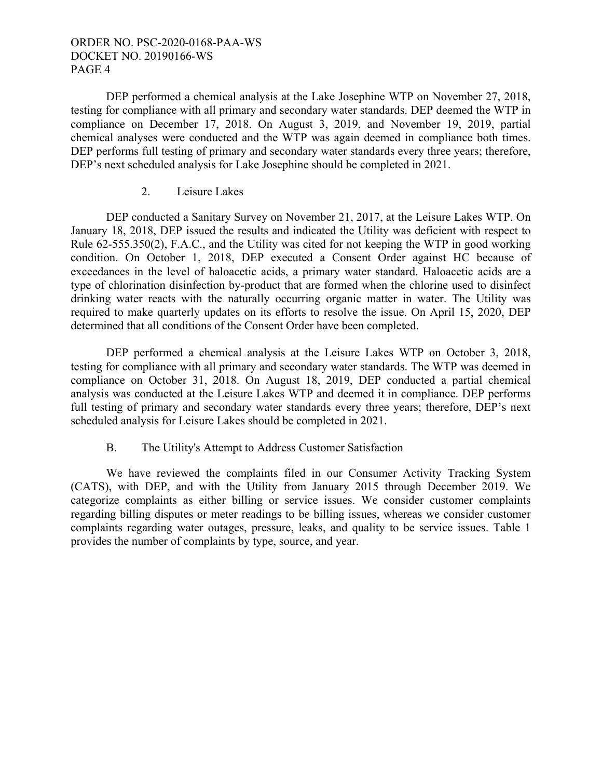DEP performed a chemical analysis at the Lake Josephine WTP on November 27, 2018, testing for compliance with all primary and secondary water standards. DEP deemed the WTP in compliance on December 17, 2018. On August 3, 2019, and November 19, 2019, partial chemical analyses were conducted and the WTP was again deemed in compliance both times. DEP performs full testing of primary and secondary water standards every three years; therefore, DEP's next scheduled analysis for Lake Josephine should be completed in 2021.

## 2. Leisure Lakes

 DEP conducted a Sanitary Survey on November 21, 2017, at the Leisure Lakes WTP. On January 18, 2018, DEP issued the results and indicated the Utility was deficient with respect to Rule 62-555.350(2), F.A.C., and the Utility was cited for not keeping the WTP in good working condition. On October 1, 2018, DEP executed a Consent Order against HC because of exceedances in the level of haloacetic acids, a primary water standard. Haloacetic acids are a type of chlorination disinfection by-product that are formed when the chlorine used to disinfect drinking water reacts with the naturally occurring organic matter in water. The Utility was required to make quarterly updates on its efforts to resolve the issue. On April 15, 2020, DEP determined that all conditions of the Consent Order have been completed.

 DEP performed a chemical analysis at the Leisure Lakes WTP on October 3, 2018, testing for compliance with all primary and secondary water standards. The WTP was deemed in compliance on October 31, 2018. On August 18, 2019, DEP conducted a partial chemical analysis was conducted at the Leisure Lakes WTP and deemed it in compliance. DEP performs full testing of primary and secondary water standards every three years; therefore, DEP's next scheduled analysis for Leisure Lakes should be completed in 2021.

# B. The Utility's Attempt to Address Customer Satisfaction

 We have reviewed the complaints filed in our Consumer Activity Tracking System (CATS), with DEP, and with the Utility from January 2015 through December 2019. We categorize complaints as either billing or service issues. We consider customer complaints regarding billing disputes or meter readings to be billing issues, whereas we consider customer complaints regarding water outages, pressure, leaks, and quality to be service issues. Table 1 provides the number of complaints by type, source, and year.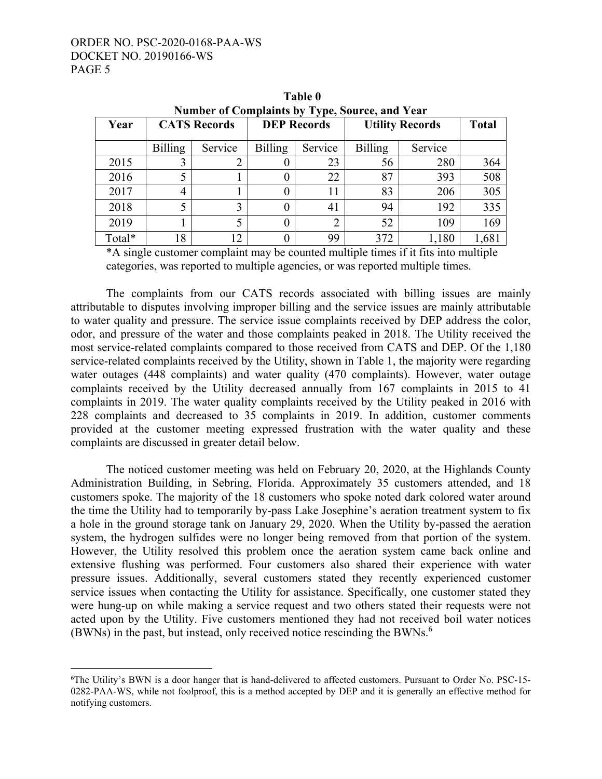$\overline{a}$ 

| Number of Complaints by Type, Source, and Year |                     |         |                |                    |                        |              |       |  |  |
|------------------------------------------------|---------------------|---------|----------------|--------------------|------------------------|--------------|-------|--|--|
| Year                                           | <b>CATS Records</b> |         |                | <b>DEP Records</b> | <b>Utility Records</b> | <b>Total</b> |       |  |  |
|                                                | <b>Billing</b>      | Service | <b>Billing</b> | Service            | <b>Billing</b>         | Service      |       |  |  |
| 2015                                           |                     | 2       |                | 23                 | 56                     | 280          | 364   |  |  |
| 2016                                           |                     |         |                | 22                 | 87                     | 393          | 508   |  |  |
| 2017                                           | 4                   |         |                | 11                 | 83                     | 206          | 305   |  |  |
| 2018                                           | 5                   | 3       |                | 41                 | 94                     | 192          | 335   |  |  |
| 2019                                           |                     | 5       |                | 2                  | 52                     | 109          | 169   |  |  |
| Total*                                         | 18                  | 12      |                | 99                 | 372                    | 1,180        | 1,681 |  |  |

**Table 0 Number of Complaints by Type, Source, and Year** 

\*A single customer complaint may be counted multiple times if it fits into multiple categories, was reported to multiple agencies, or was reported multiple times.

 The complaints from our CATS records associated with billing issues are mainly attributable to disputes involving improper billing and the service issues are mainly attributable to water quality and pressure. The service issue complaints received by DEP address the color, odor, and pressure of the water and those complaints peaked in 2018. The Utility received the most service-related complaints compared to those received from CATS and DEP. Of the 1,180 service-related complaints received by the Utility, shown in Table 1, the majority were regarding water outages (448 complaints) and water quality (470 complaints). However, water outage complaints received by the Utility decreased annually from 167 complaints in 2015 to 41 complaints in 2019. The water quality complaints received by the Utility peaked in 2016 with 228 complaints and decreased to 35 complaints in 2019. In addition, customer comments provided at the customer meeting expressed frustration with the water quality and these complaints are discussed in greater detail below.

 The noticed customer meeting was held on February 20, 2020, at the Highlands County Administration Building, in Sebring, Florida. Approximately 35 customers attended, and 18 customers spoke. The majority of the 18 customers who spoke noted dark colored water around the time the Utility had to temporarily by-pass Lake Josephine's aeration treatment system to fix a hole in the ground storage tank on January 29, 2020. When the Utility by-passed the aeration system, the hydrogen sulfides were no longer being removed from that portion of the system. However, the Utility resolved this problem once the aeration system came back online and extensive flushing was performed. Four customers also shared their experience with water pressure issues. Additionally, several customers stated they recently experienced customer service issues when contacting the Utility for assistance. Specifically, one customer stated they were hung-up on while making a service request and two others stated their requests were not acted upon by the Utility. Five customers mentioned they had not received boil water notices (BWNs) in the past, but instead, only received notice rescinding the BWNs. $^6$ 

<sup>6</sup> The Utility's BWN is a door hanger that is hand-delivered to affected customers. Pursuant to Order No. PSC-15- 0282-PAA-WS, while not foolproof, this is a method accepted by DEP and it is generally an effective method for notifying customers.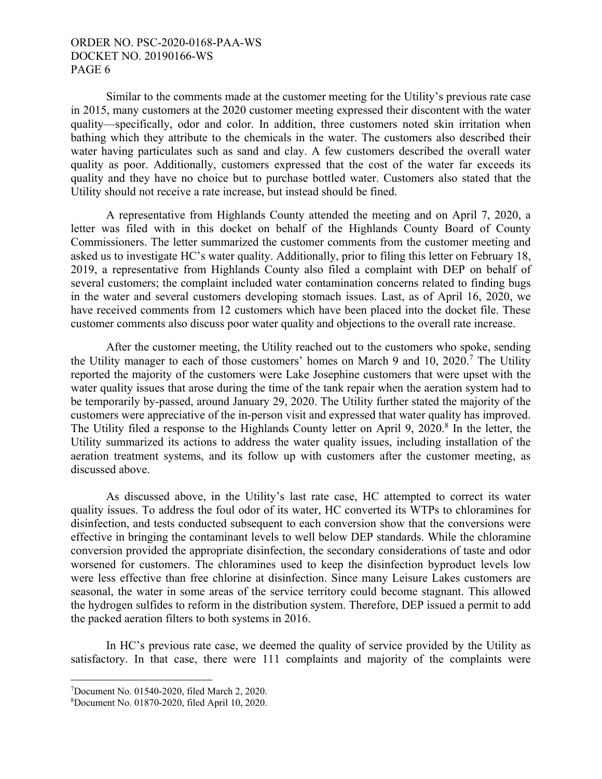Similar to the comments made at the customer meeting for the Utility's previous rate case in 2015, many customers at the 2020 customer meeting expressed their discontent with the water quality—specifically, odor and color. In addition, three customers noted skin irritation when bathing which they attribute to the chemicals in the water. The customers also described their water having particulates such as sand and clay. A few customers described the overall water quality as poor. Additionally, customers expressed that the cost of the water far exceeds its quality and they have no choice but to purchase bottled water. Customers also stated that the Utility should not receive a rate increase, but instead should be fined.

 A representative from Highlands County attended the meeting and on April 7, 2020, a letter was filed with in this docket on behalf of the Highlands County Board of County Commissioners. The letter summarized the customer comments from the customer meeting and asked us to investigate HC's water quality. Additionally, prior to filing this letter on February 18, 2019, a representative from Highlands County also filed a complaint with DEP on behalf of several customers; the complaint included water contamination concerns related to finding bugs in the water and several customers developing stomach issues. Last, as of April 16, 2020, we have received comments from 12 customers which have been placed into the docket file. These customer comments also discuss poor water quality and objections to the overall rate increase.

 After the customer meeting, the Utility reached out to the customers who spoke, sending the Utility manager to each of those customers' homes on March 9 and 10, 2020.<sup>7</sup> The Utility reported the majority of the customers were Lake Josephine customers that were upset with the water quality issues that arose during the time of the tank repair when the aeration system had to be temporarily by-passed, around January 29, 2020. The Utility further stated the majority of the customers were appreciative of the in-person visit and expressed that water quality has improved. The Utility filed a response to the Highlands County letter on April 9, 2020.<sup>8</sup> In the letter, the Utility summarized its actions to address the water quality issues, including installation of the aeration treatment systems, and its follow up with customers after the customer meeting, as discussed above.

 As discussed above, in the Utility's last rate case, HC attempted to correct its water quality issues. To address the foul odor of its water, HC converted its WTPs to chloramines for disinfection, and tests conducted subsequent to each conversion show that the conversions were effective in bringing the contaminant levels to well below DEP standards. While the chloramine conversion provided the appropriate disinfection, the secondary considerations of taste and odor worsened for customers. The chloramines used to keep the disinfection byproduct levels low were less effective than free chlorine at disinfection. Since many Leisure Lakes customers are seasonal, the water in some areas of the service territory could become stagnant. This allowed the hydrogen sulfides to reform in the distribution system. Therefore, DEP issued a permit to add the packed aeration filters to both systems in 2016.

 In HC's previous rate case, we deemed the quality of service provided by the Utility as satisfactory. In that case, there were 111 complaints and majority of the complaints were

 $\overline{a}$ 

<sup>7</sup> Document No. 01540-2020, filed March 2, 2020.

<sup>8</sup> Document No. 01870-2020, filed April 10, 2020.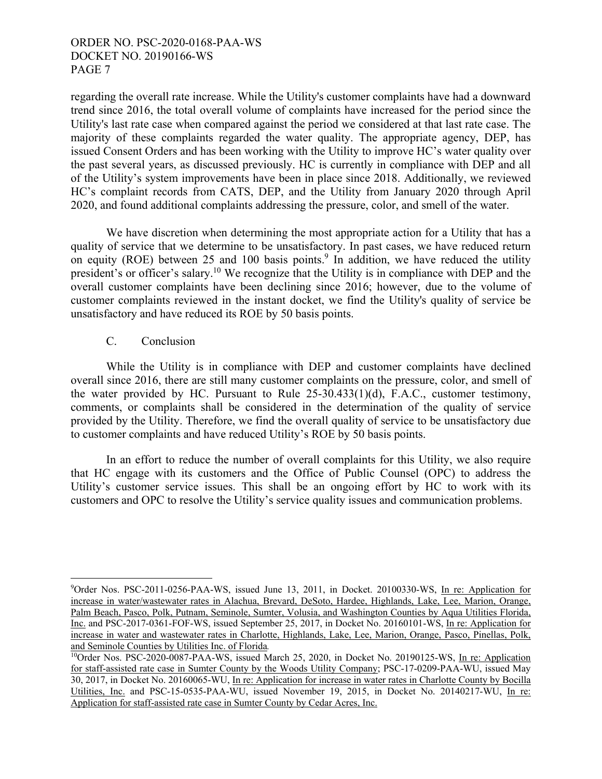regarding the overall rate increase. While the Utility's customer complaints have had a downward trend since 2016, the total overall volume of complaints have increased for the period since the Utility's last rate case when compared against the period we considered at that last rate case. The majority of these complaints regarded the water quality. The appropriate agency, DEP, has issued Consent Orders and has been working with the Utility to improve HC's water quality over the past several years, as discussed previously. HC is currently in compliance with DEP and all of the Utility's system improvements have been in place since 2018. Additionally, we reviewed HC's complaint records from CATS, DEP, and the Utility from January 2020 through April 2020, and found additional complaints addressing the pressure, color, and smell of the water.

 We have discretion when determining the most appropriate action for a Utility that has a quality of service that we determine to be unsatisfactory. In past cases, we have reduced return on equity (ROE) between 25 and 100 basis points.<sup>9</sup> In addition, we have reduced the utility president's or officer's salary.10 We recognize that the Utility is in compliance with DEP and the overall customer complaints have been declining since 2016; however, due to the volume of customer complaints reviewed in the instant docket, we find the Utility's quality of service be unsatisfactory and have reduced its ROE by 50 basis points.

## C. Conclusion

1

 While the Utility is in compliance with DEP and customer complaints have declined overall since 2016, there are still many customer complaints on the pressure, color, and smell of the water provided by HC. Pursuant to Rule  $25-30.433(1)(d)$ , F.A.C., customer testimony, comments, or complaints shall be considered in the determination of the quality of service provided by the Utility. Therefore, we find the overall quality of service to be unsatisfactory due to customer complaints and have reduced Utility's ROE by 50 basis points.

 In an effort to reduce the number of overall complaints for this Utility, we also require that HC engage with its customers and the Office of Public Counsel (OPC) to address the Utility's customer service issues. This shall be an ongoing effort by HC to work with its customers and OPC to resolve the Utility's service quality issues and communication problems.

<sup>9</sup> Order Nos. PSC-2011-0256-PAA-WS, issued June 13, 2011, in Docket. 20100330-WS, In re: Application for increase in water/wastewater rates in Alachua, Brevard, DeSoto, Hardee, Highlands, Lake, Lee, Marion, Orange, Palm Beach, Pasco, Polk, Putnam, Seminole, Sumter, Volusia, and Washington Counties by Aqua Utilities Florida, Inc. and PSC-2017-0361-FOF-WS, issued September 25, 2017, in Docket No. 20160101-WS, In re: Application for increase in water and wastewater rates in Charlotte, Highlands, Lake, Lee, Marion, Orange, Pasco, Pinellas, Polk, and Seminole Counties by Utilities Inc. of Florida*.*

<sup>&</sup>lt;sup>10</sup>Order Nos. PSC-2020-0087-PAA-WS, issued March 25, 2020, in Docket No. 20190125-WS, In re: Application for staff-assisted rate case in Sumter County by the Woods Utility Company; PSC-17-0209-PAA-WU, issued May 30, 2017, in Docket No. 20160065-WU, In re: Application for increase in water rates in Charlotte County by Bocilla Utilities, Inc. and PSC-15-0535-PAA-WU, issued November 19, 2015, in Docket No. 20140217-WU, In re: Application for staff-assisted rate case in Sumter County by Cedar Acres, Inc.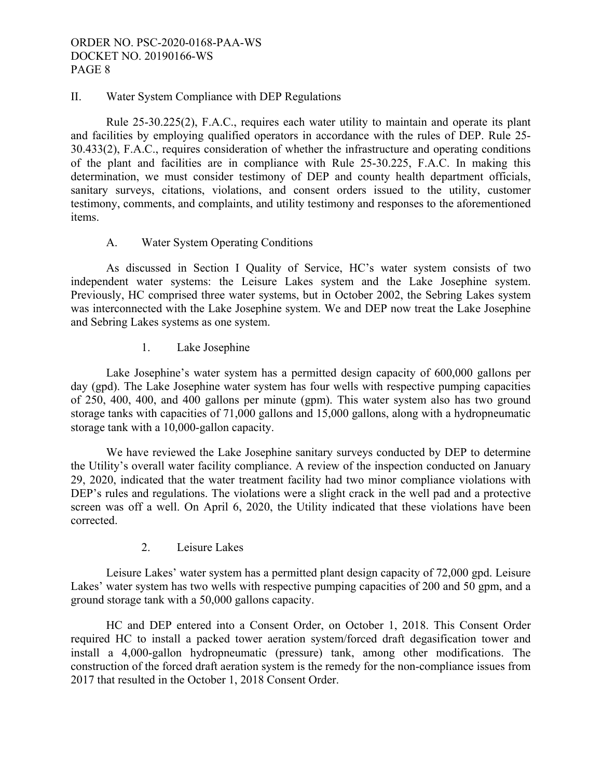## II. Water System Compliance with DEP Regulations

Rule 25-30.225(2), F.A.C., requires each water utility to maintain and operate its plant and facilities by employing qualified operators in accordance with the rules of DEP. Rule 25- 30.433(2), F.A.C., requires consideration of whether the infrastructure and operating conditions of the plant and facilities are in compliance with Rule 25-30.225, F.A.C. In making this determination, we must consider testimony of DEP and county health department officials, sanitary surveys, citations, violations, and consent orders issued to the utility, customer testimony, comments, and complaints, and utility testimony and responses to the aforementioned items.

## A. Water System Operating Conditions

 As discussed in Section I Quality of Service, HC's water system consists of two independent water systems: the Leisure Lakes system and the Lake Josephine system. Previously, HC comprised three water systems, but in October 2002, the Sebring Lakes system was interconnected with the Lake Josephine system. We and DEP now treat the Lake Josephine and Sebring Lakes systems as one system.

## 1. Lake Josephine

 Lake Josephine's water system has a permitted design capacity of 600,000 gallons per day (gpd). The Lake Josephine water system has four wells with respective pumping capacities of 250, 400, 400, and 400 gallons per minute (gpm). This water system also has two ground storage tanks with capacities of 71,000 gallons and 15,000 gallons, along with a hydropneumatic storage tank with a 10,000-gallon capacity.

 We have reviewed the Lake Josephine sanitary surveys conducted by DEP to determine the Utility's overall water facility compliance. A review of the inspection conducted on January 29, 2020, indicated that the water treatment facility had two minor compliance violations with DEP's rules and regulations. The violations were a slight crack in the well pad and a protective screen was off a well. On April 6, 2020, the Utility indicated that these violations have been corrected.

## 2. Leisure Lakes

 Leisure Lakes' water system has a permitted plant design capacity of 72,000 gpd. Leisure Lakes' water system has two wells with respective pumping capacities of 200 and 50 gpm, and a ground storage tank with a 50,000 gallons capacity.

 HC and DEP entered into a Consent Order, on October 1, 2018. This Consent Order required HC to install a packed tower aeration system/forced draft degasification tower and install a 4,000-gallon hydropneumatic (pressure) tank, among other modifications. The construction of the forced draft aeration system is the remedy for the non-compliance issues from 2017 that resulted in the October 1, 2018 Consent Order.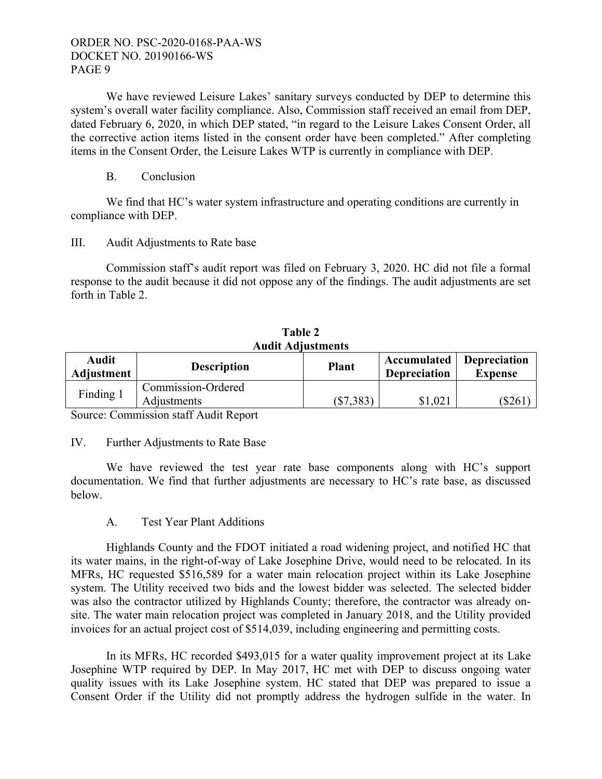We have reviewed Leisure Lakes' sanitary surveys conducted by DEP to determine this system's overall water facility compliance. Also, Commission staff received an email from DEP, dated February 6, 2020, in which DEP stated, "in regard to the Leisure Lakes Consent Order, all the corrective action items listed in the consent order have been completed." After completing items in the Consent Order, the Leisure Lakes WTP is currently in compliance with DEP.

## B. Conclusion

We find that HC's water system infrastructure and operating conditions are currently in compliance with DEP.

#### III. Audit Adjustments to Rate base

Commission staff's audit report was filed on February 3, 2020. HC did not file a formal response to the audit because it did not oppose any of the findings. The audit adjustments are set forth in Table 2.

| 1 AVIV 2                   |                                   |              |                                    |                                       |  |  |  |  |
|----------------------------|-----------------------------------|--------------|------------------------------------|---------------------------------------|--|--|--|--|
|                            | <b>Audit Adjustments</b>          |              |                                    |                                       |  |  |  |  |
| <b>Audit</b><br>Adjustment | <b>Description</b>                | <b>Plant</b> | Accumulated<br><b>Depreciation</b> | <b>Depreciation</b><br><b>Expense</b> |  |  |  |  |
| Finding 1                  | Commission-Ordered<br>Adjustments | $(\$7,383)$  | \$1,021                            | (\$261                                |  |  |  |  |

**Table 2** 

Source: Commission staff Audit Report

## IV. Further Adjustments to Rate Base

We have reviewed the test year rate base components along with HC's support documentation. We find that further adjustments are necessary to HC's rate base, as discussed below.

## A. Test Year Plant Additions

 Highlands County and the FDOT initiated a road widening project, and notified HC that its water mains, in the right-of-way of Lake Josephine Drive, would need to be relocated. In its MFRs, HC requested \$516,589 for a water main relocation project within its Lake Josephine system. The Utility received two bids and the lowest bidder was selected. The selected bidder was also the contractor utilized by Highlands County; therefore, the contractor was already onsite. The water main relocation project was completed in January 2018, and the Utility provided invoices for an actual project cost of \$514,039, including engineering and permitting costs.

 In its MFRs, HC recorded \$493,015 for a water quality improvement project at its Lake Josephine WTP required by DEP. In May 2017, HC met with DEP to discuss ongoing water quality issues with its Lake Josephine system. HC stated that DEP was prepared to issue a Consent Order if the Utility did not promptly address the hydrogen sulfide in the water. In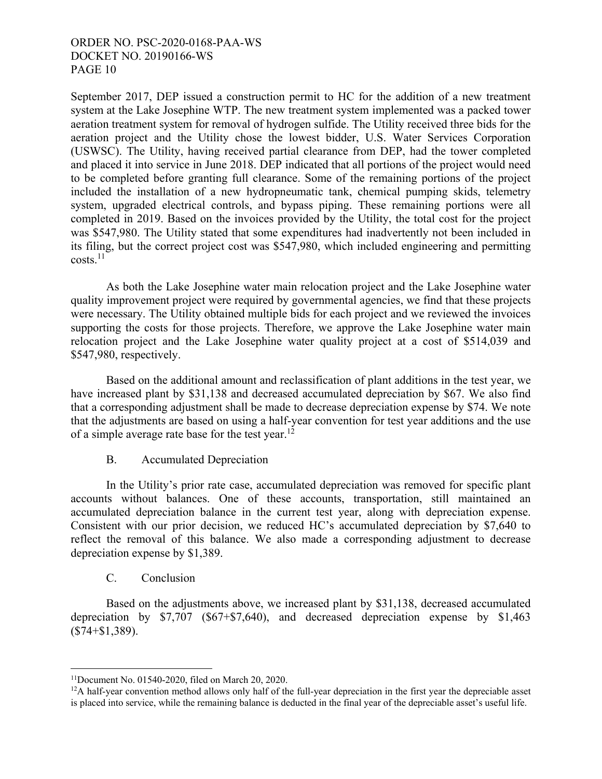September 2017, DEP issued a construction permit to HC for the addition of a new treatment system at the Lake Josephine WTP. The new treatment system implemented was a packed tower aeration treatment system for removal of hydrogen sulfide. The Utility received three bids for the aeration project and the Utility chose the lowest bidder, U.S. Water Services Corporation (USWSC). The Utility, having received partial clearance from DEP, had the tower completed and placed it into service in June 2018. DEP indicated that all portions of the project would need to be completed before granting full clearance. Some of the remaining portions of the project included the installation of a new hydropneumatic tank, chemical pumping skids, telemetry system, upgraded electrical controls, and bypass piping. These remaining portions were all completed in 2019. Based on the invoices provided by the Utility, the total cost for the project was \$547,980. The Utility stated that some expenditures had inadvertently not been included in its filing, but the correct project cost was \$547,980, which included engineering and permitting  $costs.<sup>11</sup>$ 

 As both the Lake Josephine water main relocation project and the Lake Josephine water quality improvement project were required by governmental agencies, we find that these projects were necessary. The Utility obtained multiple bids for each project and we reviewed the invoices supporting the costs for those projects. Therefore, we approve the Lake Josephine water main relocation project and the Lake Josephine water quality project at a cost of \$514,039 and \$547,980, respectively.

 Based on the additional amount and reclassification of plant additions in the test year, we have increased plant by \$31,138 and decreased accumulated depreciation by \$67. We also find that a corresponding adjustment shall be made to decrease depreciation expense by \$74. We note that the adjustments are based on using a half-year convention for test year additions and the use of a simple average rate base for the test year.<sup>12</sup>

## B. Accumulated Depreciation

 In the Utility's prior rate case, accumulated depreciation was removed for specific plant accounts without balances. One of these accounts, transportation, still maintained an accumulated depreciation balance in the current test year, along with depreciation expense. Consistent with our prior decision, we reduced HC's accumulated depreciation by \$7,640 to reflect the removal of this balance. We also made a corresponding adjustment to decrease depreciation expense by \$1,389.

## C. Conclusion

 $\overline{a}$ 

 Based on the adjustments above, we increased plant by \$31,138, decreased accumulated depreciation by \$7,707 (\$67+\$7,640), and decreased depreciation expense by \$1,463 (\$74+\$1,389).

<sup>11</sup>Document No. 01540-2020, filed on March 20, 2020.

<sup>&</sup>lt;sup>12</sup>A half-year convention method allows only half of the full-year depreciation in the first year the depreciable asset is placed into service, while the remaining balance is deducted in the final year of the depreciable asset's useful life.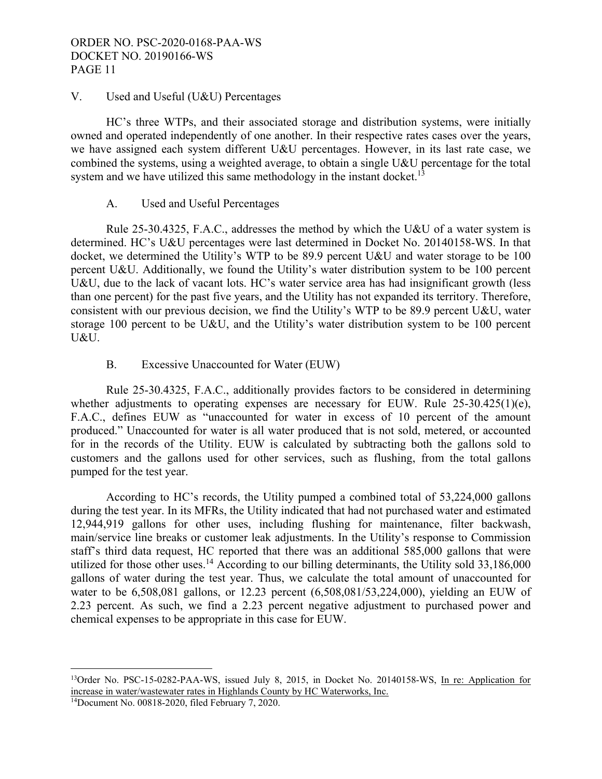## V. Used and Useful (U&U) Percentages

HC's three WTPs, and their associated storage and distribution systems, were initially owned and operated independently of one another. In their respective rates cases over the years, we have assigned each system different U&U percentages. However, in its last rate case, we combined the systems, using a weighted average, to obtain a single U&U percentage for the total system and we have utilized this same methodology in the instant docket.<sup>13</sup>

## A. Used and Useful Percentages

 Rule 25-30.4325, F.A.C., addresses the method by which the U&U of a water system is determined. HC's U&U percentages were last determined in Docket No. 20140158-WS. In that docket, we determined the Utility's WTP to be 89.9 percent U&U and water storage to be 100 percent U&U. Additionally, we found the Utility's water distribution system to be 100 percent U&U, due to the lack of vacant lots. HC's water service area has had insignificant growth (less than one percent) for the past five years, and the Utility has not expanded its territory. Therefore, consistent with our previous decision, we find the Utility's WTP to be 89.9 percent U&U, water storage 100 percent to be U&U, and the Utility's water distribution system to be 100 percent U&U.

## B. Excessive Unaccounted for Water (EUW)

 Rule 25-30.4325, F.A.C., additionally provides factors to be considered in determining whether adjustments to operating expenses are necessary for EUW. Rule 25-30.425(1)(e), F.A.C., defines EUW as "unaccounted for water in excess of 10 percent of the amount produced." Unaccounted for water is all water produced that is not sold, metered, or accounted for in the records of the Utility. EUW is calculated by subtracting both the gallons sold to customers and the gallons used for other services, such as flushing, from the total gallons pumped for the test year.

 According to HC's records, the Utility pumped a combined total of 53,224,000 gallons during the test year. In its MFRs, the Utility indicated that had not purchased water and estimated 12,944,919 gallons for other uses, including flushing for maintenance, filter backwash, main/service line breaks or customer leak adjustments. In the Utility's response to Commission staff's third data request, HC reported that there was an additional 585,000 gallons that were utilized for those other uses.<sup>14</sup> According to our billing determinants, the Utility sold  $33,186,000$ gallons of water during the test year. Thus, we calculate the total amount of unaccounted for water to be 6,508,081 gallons, or 12.23 percent (6,508,081/53,224,000), yielding an EUW of 2.23 percent. As such, we find a 2.23 percent negative adjustment to purchased power and chemical expenses to be appropriate in this case for EUW.

<u>.</u>

<sup>13</sup>Order No. PSC-15-0282-PAA-WS, issued July 8, 2015, in Docket No. 20140158-WS, In re: Application for increase in water/wastewater rates in Highlands County by HC Waterworks, Inc. 14Document No. 00818-2020, filed February 7, 2020.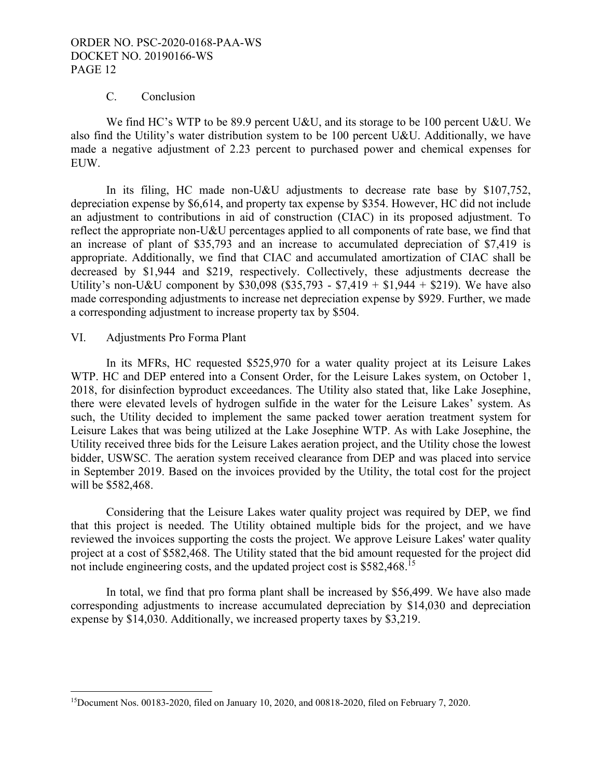#### C. Conclusion

We find HC's WTP to be 89.9 percent U&U, and its storage to be 100 percent U&U. We also find the Utility's water distribution system to be 100 percent U&U. Additionally, we have made a negative adjustment of 2.23 percent to purchased power and chemical expenses for EUW.

In its filing, HC made non-U&U adjustments to decrease rate base by \$107,752, depreciation expense by \$6,614, and property tax expense by \$354. However, HC did not include an adjustment to contributions in aid of construction (CIAC) in its proposed adjustment. To reflect the appropriate non-U&U percentages applied to all components of rate base, we find that an increase of plant of \$35,793 and an increase to accumulated depreciation of \$7,419 is appropriate. Additionally, we find that CIAC and accumulated amortization of CIAC shall be decreased by \$1,944 and \$219, respectively. Collectively, these adjustments decrease the Utility's non-U&U component by \$30,098 (\$35,793 - \$7,419 + \$1,944 + \$219). We have also made corresponding adjustments to increase net depreciation expense by \$929. Further, we made a corresponding adjustment to increase property tax by \$504.

#### VI. Adjustments Pro Forma Plant

1

In its MFRs, HC requested \$525,970 for a water quality project at its Leisure Lakes WTP. HC and DEP entered into a Consent Order, for the Leisure Lakes system, on October 1, 2018, for disinfection byproduct exceedances. The Utility also stated that, like Lake Josephine, there were elevated levels of hydrogen sulfide in the water for the Leisure Lakes' system. As such, the Utility decided to implement the same packed tower aeration treatment system for Leisure Lakes that was being utilized at the Lake Josephine WTP. As with Lake Josephine, the Utility received three bids for the Leisure Lakes aeration project, and the Utility chose the lowest bidder, USWSC. The aeration system received clearance from DEP and was placed into service in September 2019. Based on the invoices provided by the Utility, the total cost for the project will be \$582,468.

 Considering that the Leisure Lakes water quality project was required by DEP, we find that this project is needed. The Utility obtained multiple bids for the project, and we have reviewed the invoices supporting the costs the project. We approve Leisure Lakes' water quality project at a cost of \$582,468. The Utility stated that the bid amount requested for the project did not include engineering costs, and the updated project cost is \$582,468.<sup>15</sup>

 In total, we find that pro forma plant shall be increased by \$56,499. We have also made corresponding adjustments to increase accumulated depreciation by \$14,030 and depreciation expense by \$14,030. Additionally, we increased property taxes by \$3,219.

<sup>15</sup>Document Nos. 00183-2020, filed on January 10, 2020, and 00818-2020, filed on February 7, 2020.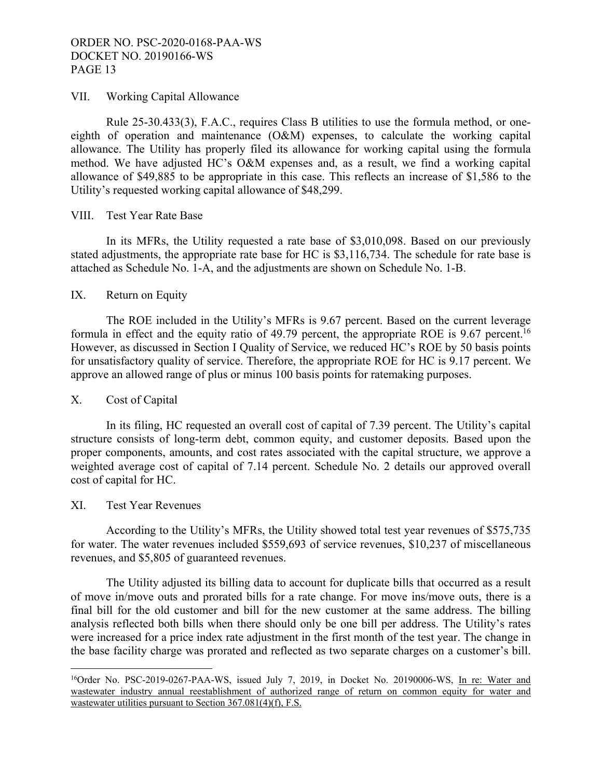#### VII. Working Capital Allowance

Rule 25-30.433(3), F.A.C., requires Class B utilities to use the formula method, or oneeighth of operation and maintenance (O&M) expenses, to calculate the working capital allowance. The Utility has properly filed its allowance for working capital using the formula method. We have adjusted HC's O&M expenses and, as a result, we find a working capital allowance of \$49,885 to be appropriate in this case. This reflects an increase of \$1,586 to the Utility's requested working capital allowance of \$48,299.

#### VIII. Test Year Rate Base

In its MFRs, the Utility requested a rate base of \$3,010,098. Based on our previously stated adjustments, the appropriate rate base for HC is \$3,116,734. The schedule for rate base is attached as Schedule No. 1-A, and the adjustments are shown on Schedule No. 1-B.

## IX. Return on Equity

The ROE included in the Utility's MFRs is 9.67 percent. Based on the current leverage formula in effect and the equity ratio of 49.79 percent, the appropriate ROE is 9.67 percent.16 However, as discussed in Section I Quality of Service, we reduced HC's ROE by 50 basis points for unsatisfactory quality of service. Therefore, the appropriate ROE for HC is 9.17 percent. We approve an allowed range of plus or minus 100 basis points for ratemaking purposes.

## X. Cost of Capital

In its filing, HC requested an overall cost of capital of 7.39 percent. The Utility's capital structure consists of long-term debt, common equity, and customer deposits. Based upon the proper components, amounts, and cost rates associated with the capital structure, we approve a weighted average cost of capital of 7.14 percent. Schedule No. 2 details our approved overall cost of capital for HC.

#### XI. Test Year Revenues

<u>.</u>

According to the Utility's MFRs, the Utility showed total test year revenues of \$575,735 for water. The water revenues included \$559,693 of service revenues, \$10,237 of miscellaneous revenues, and \$5,805 of guaranteed revenues.

 The Utility adjusted its billing data to account for duplicate bills that occurred as a result of move in/move outs and prorated bills for a rate change. For move ins/move outs, there is a final bill for the old customer and bill for the new customer at the same address. The billing analysis reflected both bills when there should only be one bill per address. The Utility's rates were increased for a price index rate adjustment in the first month of the test year. The change in the base facility charge was prorated and reflected as two separate charges on a customer's bill.

<sup>&</sup>lt;sup>16</sup>Order No. PSC-2019-0267-PAA-WS, issued July 7, 2019, in Docket No. 20190006-WS, In re: Water and wastewater industry annual reestablishment of authorized range of return on common equity for water and wastewater utilities pursuant to Section 367.081(4)(f), F.S.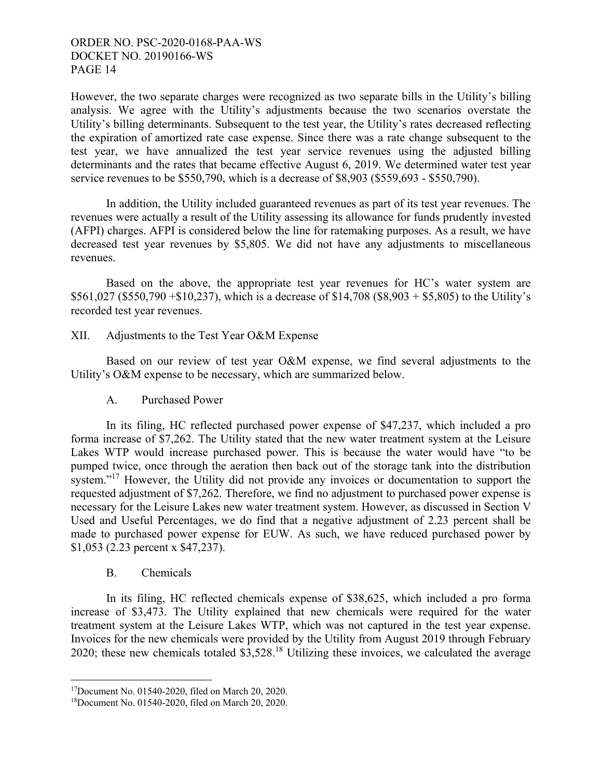However, the two separate charges were recognized as two separate bills in the Utility's billing analysis. We agree with the Utility's adjustments because the two scenarios overstate the Utility's billing determinants. Subsequent to the test year, the Utility's rates decreased reflecting the expiration of amortized rate case expense. Since there was a rate change subsequent to the test year, we have annualized the test year service revenues using the adjusted billing determinants and the rates that became effective August 6, 2019. We determined water test year service revenues to be \$550,790, which is a decrease of \$8,903 (\$559,693 - \$550,790).

 In addition, the Utility included guaranteed revenues as part of its test year revenues. The revenues were actually a result of the Utility assessing its allowance for funds prudently invested (AFPI) charges. AFPI is considered below the line for ratemaking purposes. As a result, we have decreased test year revenues by \$5,805. We did not have any adjustments to miscellaneous revenues.

 Based on the above, the appropriate test year revenues for HC's water system are  $$561,027$  (\$550,790 +\$10,237), which is a decrease of \$14,708 (\$8,903 + \$5,805) to the Utility's recorded test year revenues.

XII. Adjustments to the Test Year O&M Expense

Based on our review of test year O&M expense, we find several adjustments to the Utility's O&M expense to be necessary, which are summarized below.

A. Purchased Power

 In its filing, HC reflected purchased power expense of \$47,237, which included a pro forma increase of \$7,262. The Utility stated that the new water treatment system at the Leisure Lakes WTP would increase purchased power. This is because the water would have "to be pumped twice, once through the aeration then back out of the storage tank into the distribution system."<sup>17</sup> However, the Utility did not provide any invoices or documentation to support the requested adjustment of \$7,262. Therefore, we find no adjustment to purchased power expense is necessary for the Leisure Lakes new water treatment system. However, as discussed in Section V Used and Useful Percentages, we do find that a negative adjustment of 2.23 percent shall be made to purchased power expense for EUW. As such, we have reduced purchased power by \$1,053 (2.23 percent x \$47,237).

## B. Chemicals

 $\overline{a}$ 

 In its filing, HC reflected chemicals expense of \$38,625, which included a pro forma increase of \$3,473. The Utility explained that new chemicals were required for the water treatment system at the Leisure Lakes WTP, which was not captured in the test year expense. Invoices for the new chemicals were provided by the Utility from August 2019 through February 2020; these new chemicals totaled \$3,528.18 Utilizing these invoices, we calculated the average

<sup>17</sup>Document No. 01540-2020, filed on March 20, 2020.

<sup>18</sup>Document No. 01540-2020, filed on March 20, 2020.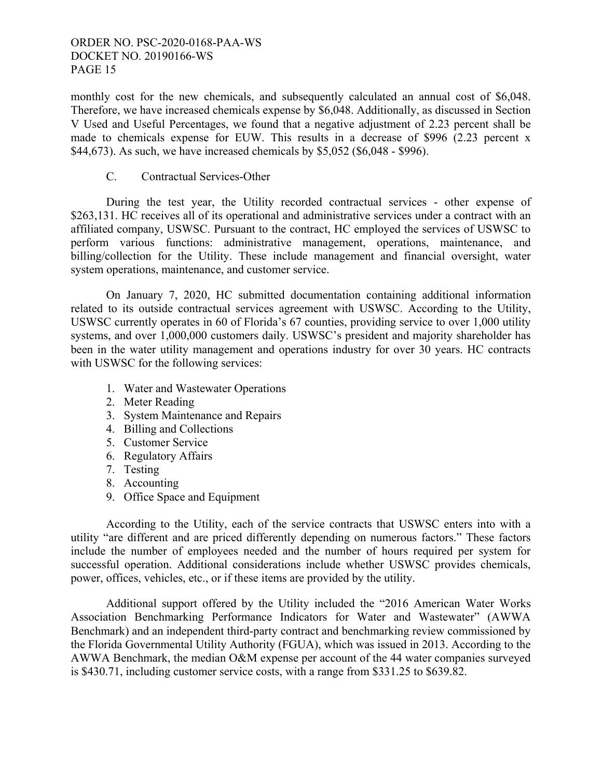monthly cost for the new chemicals, and subsequently calculated an annual cost of \$6,048. Therefore, we have increased chemicals expense by \$6,048. Additionally, as discussed in Section V Used and Useful Percentages, we found that a negative adjustment of 2.23 percent shall be made to chemicals expense for EUW. This results in a decrease of \$996 (2.23 percent x \$44,673). As such, we have increased chemicals by \$5,052 (\$6,048 - \$996).

## C. Contractual Services-Other

 During the test year, the Utility recorded contractual services - other expense of \$263,131. HC receives all of its operational and administrative services under a contract with an affiliated company, USWSC. Pursuant to the contract, HC employed the services of USWSC to perform various functions: administrative management, operations, maintenance, and billing/collection for the Utility. These include management and financial oversight, water system operations, maintenance, and customer service.

 On January 7, 2020, HC submitted documentation containing additional information related to its outside contractual services agreement with USWSC. According to the Utility, USWSC currently operates in 60 of Florida's 67 counties, providing service to over 1,000 utility systems, and over 1,000,000 customers daily. USWSC's president and majority shareholder has been in the water utility management and operations industry for over 30 years. HC contracts with USWSC for the following services:

- 1. Water and Wastewater Operations
- 2. Meter Reading
- 3. System Maintenance and Repairs
- 4. Billing and Collections
- 5. Customer Service
- 6. Regulatory Affairs
- 7. Testing
- 8. Accounting
- 9. Office Space and Equipment

 According to the Utility, each of the service contracts that USWSC enters into with a utility "are different and are priced differently depending on numerous factors." These factors include the number of employees needed and the number of hours required per system for successful operation. Additional considerations include whether USWSC provides chemicals, power, offices, vehicles, etc., or if these items are provided by the utility.

 Additional support offered by the Utility included the "2016 American Water Works Association Benchmarking Performance Indicators for Water and Wastewater" (AWWA Benchmark) and an independent third-party contract and benchmarking review commissioned by the Florida Governmental Utility Authority (FGUA), which was issued in 2013. According to the AWWA Benchmark, the median O&M expense per account of the 44 water companies surveyed is \$430.71, including customer service costs, with a range from \$331.25 to \$639.82.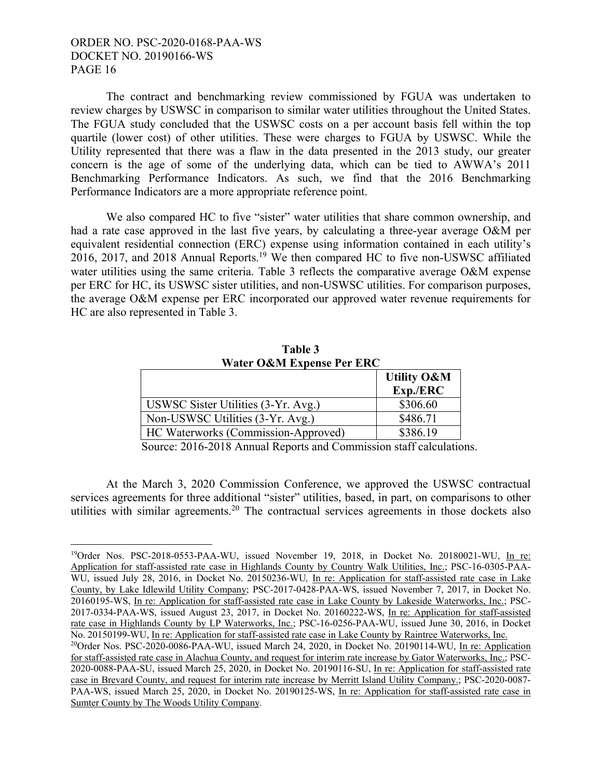$\overline{a}$ 

 The contract and benchmarking review commissioned by FGUA was undertaken to review charges by USWSC in comparison to similar water utilities throughout the United States. The FGUA study concluded that the USWSC costs on a per account basis fell within the top quartile (lower cost) of other utilities. These were charges to FGUA by USWSC. While the Utility represented that there was a flaw in the data presented in the 2013 study, our greater concern is the age of some of the underlying data, which can be tied to AWWA's 2011 Benchmarking Performance Indicators. As such, we find that the 2016 Benchmarking Performance Indicators are a more appropriate reference point.

We also compared HC to five "sister" water utilities that share common ownership, and had a rate case approved in the last five years, by calculating a three-year average O&M per equivalent residential connection (ERC) expense using information contained in each utility's 2016, 2017, and 2018 Annual Reports.<sup>19</sup> We then compared HC to five non-USWSC affiliated water utilities using the same criteria. Table 3 reflects the comparative average O&M expense per ERC for HC, its USWSC sister utilities, and non-USWSC utilities. For comparison purposes, the average O&M expense per ERC incorporated our approved water revenue requirements for HC are also represented in Table 3.

| Water O&M Expense Per ERC           |                        |  |  |  |
|-------------------------------------|------------------------|--|--|--|
|                                     | <b>Utility O&amp;M</b> |  |  |  |
|                                     | Exp./ERC               |  |  |  |
| USWSC Sister Utilities (3-Yr. Avg.) | \$306.60               |  |  |  |
| Non-USWSC Utilities (3-Yr. Avg.)    | \$486.71               |  |  |  |
| HC Waterworks (Commission-Approved) | \$386.19               |  |  |  |

**Table 3** 

Source: 2016-2018 Annual Reports and Commission staff calculations.

 At the March 3, 2020 Commission Conference, we approved the USWSC contractual services agreements for three additional "sister" utilities, based, in part, on comparisons to other utilities with similar agreements.<sup>20</sup> The contractual services agreements in those dockets also

<sup>19</sup>Order Nos. PSC-2018-0553-PAA-WU, issued November 19, 2018, in Docket No. 20180021-WU, In re: Application for staff-assisted rate case in Highlands County by Country Walk Utilities, Inc.; PSC-16-0305-PAA-WU, issued July 28, 2016, in Docket No. 20150236-WU, In re: Application for staff-assisted rate case in Lake County, by Lake Idlewild Utility Company; PSC-2017-0428-PAA-WS, issued November 7, 2017, in Docket No. 20160195-WS, In re: Application for staff-assisted rate case in Lake County by Lakeside Waterworks, Inc.; PSC-2017-0334-PAA-WS, issued August 23, 2017, in Docket No. 20160222-WS, In re: Application for staff-assisted rate case in Highlands County by LP Waterworks, Inc.; PSC-16-0256-PAA-WU, issued June 30, 2016, in Docket No. 20150199-WU, In re: Application for staff-assisted rate case in Lake County by Raintree Waterworks, Inc.  $^{20}$ Order Nos. PSC-2020-0086-PAA-WU, issued March 24, 2020, in Docket No. 20190114-WU, In re: Application

for staff-assisted rate case in Alachua County, and request for interim rate increase by Gator Waterworks, Inc.; PSC-2020-0088-PAA-SU, issued March 25, 2020, in Docket No. 20190116-SU, In re: Application for staff-assisted rate case in Brevard County, and request for interim rate increase by Merritt Island Utility Company.; PSC-2020-0087- PAA-WS, issued March 25, 2020, in Docket No. 20190125-WS, In re: Application for staff-assisted rate case in Sumter County by The Woods Utility Company*.*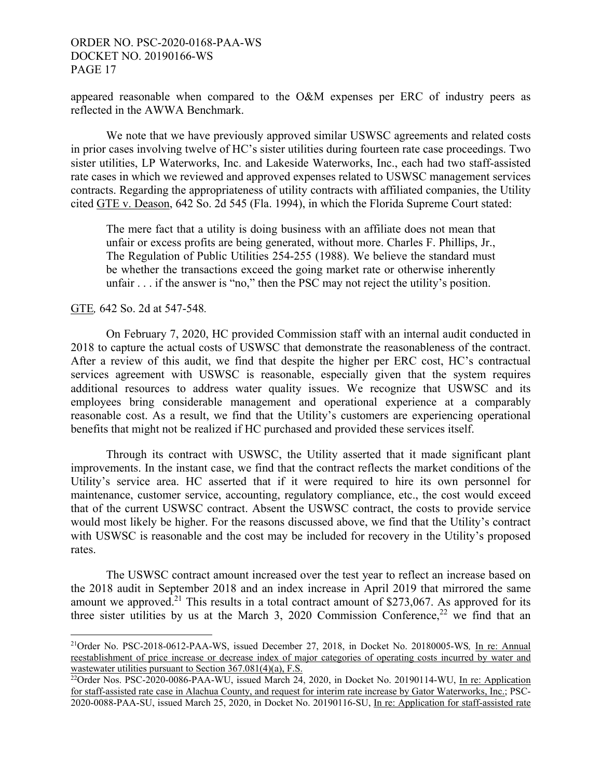appeared reasonable when compared to the O&M expenses per ERC of industry peers as reflected in the AWWA Benchmark.

 We note that we have previously approved similar USWSC agreements and related costs in prior cases involving twelve of HC's sister utilities during fourteen rate case proceedings. Two sister utilities, LP Waterworks, Inc. and Lakeside Waterworks, Inc., each had two staff-assisted rate cases in which we reviewed and approved expenses related to USWSC management services contracts. Regarding the appropriateness of utility contracts with affiliated companies, the Utility cited GTE v. Deason, 642 So. 2d 545 (Fla. 1994), in which the Florida Supreme Court stated:

The mere fact that a utility is doing business with an affiliate does not mean that unfair or excess profits are being generated, without more. Charles F. Phillips, Jr., The Regulation of Public Utilities 254-255 (1988). We believe the standard must be whether the transactions exceed the going market rate or otherwise inherently unfair  $\ldots$  if the answer is "no," then the PSC may not reject the utility's position.

GTE*,* 642 So. 2d at 547-548*.*

 $\overline{a}$ 

 On February 7, 2020, HC provided Commission staff with an internal audit conducted in 2018 to capture the actual costs of USWSC that demonstrate the reasonableness of the contract. After a review of this audit, we find that despite the higher per ERC cost, HC's contractual services agreement with USWSC is reasonable, especially given that the system requires additional resources to address water quality issues. We recognize that USWSC and its employees bring considerable management and operational experience at a comparably reasonable cost. As a result, we find that the Utility's customers are experiencing operational benefits that might not be realized if HC purchased and provided these services itself.

 Through its contract with USWSC, the Utility asserted that it made significant plant improvements. In the instant case, we find that the contract reflects the market conditions of the Utility's service area. HC asserted that if it were required to hire its own personnel for maintenance, customer service, accounting, regulatory compliance, etc., the cost would exceed that of the current USWSC contract. Absent the USWSC contract, the costs to provide service would most likely be higher. For the reasons discussed above, we find that the Utility's contract with USWSC is reasonable and the cost may be included for recovery in the Utility's proposed rates.

 The USWSC contract amount increased over the test year to reflect an increase based on the 2018 audit in September 2018 and an index increase in April 2019 that mirrored the same amount we approved.<sup>21</sup> This results in a total contract amount of \$273,067. As approved for its three sister utilities by us at the March 3, 2020 Commission Conference,<sup>22</sup> we find that an

<sup>21</sup>Order No. PSC-2018-0612-PAA-WS, issued December 27, 2018, in Docket No. 20180005-WS*,* In re: Annual reestablishment of price increase or decrease index of major categories of operating costs incurred by water and wastewater utilities pursuant to Section  $367.081(4)(a)$ , F.S.  $^{22}$ <br> $^{22}$ Order Nos. PSC-2020-0086-PAA-WU, issued March 24, 2020, in Docket No. 20190114-WU, In re: Application

for staff-assisted rate case in Alachua County, and request for interim rate increase by Gator Waterworks, Inc.; PSC-2020-0088-PAA-SU, issued March 25, 2020, in Docket No. 20190116-SU, In re: Application for staff-assisted rate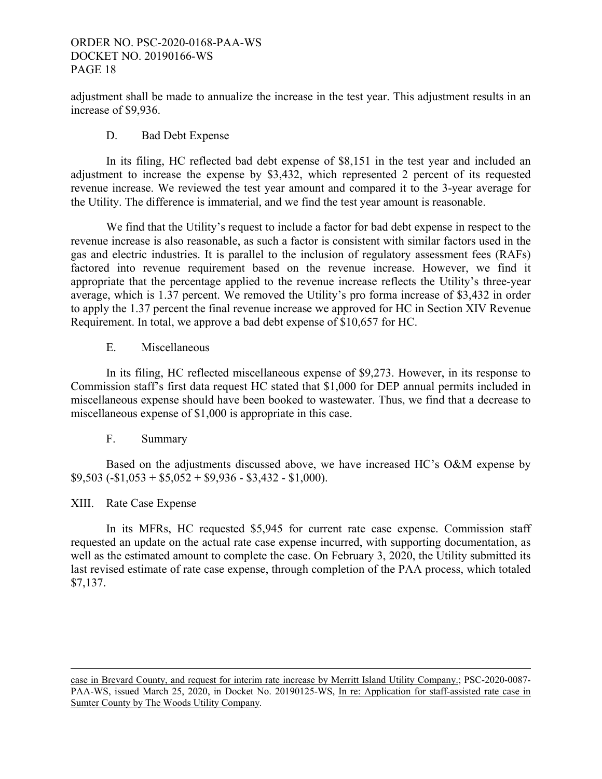adjustment shall be made to annualize the increase in the test year. This adjustment results in an increase of \$9,936.

D. Bad Debt Expense

 In its filing, HC reflected bad debt expense of \$8,151 in the test year and included an adjustment to increase the expense by \$3,432, which represented 2 percent of its requested revenue increase. We reviewed the test year amount and compared it to the 3-year average for the Utility. The difference is immaterial, and we find the test year amount is reasonable.

 We find that the Utility's request to include a factor for bad debt expense in respect to the revenue increase is also reasonable, as such a factor is consistent with similar factors used in the gas and electric industries. It is parallel to the inclusion of regulatory assessment fees (RAFs) factored into revenue requirement based on the revenue increase. However, we find it appropriate that the percentage applied to the revenue increase reflects the Utility's three-year average, which is 1.37 percent. We removed the Utility's pro forma increase of \$3,432 in order to apply the 1.37 percent the final revenue increase we approved for HC in Section XIV Revenue Requirement. In total, we approve a bad debt expense of \$10,657 for HC.

E. Miscellaneous

 In its filing, HC reflected miscellaneous expense of \$9,273. However, in its response to Commission staff's first data request HC stated that \$1,000 for DEP annual permits included in miscellaneous expense should have been booked to wastewater. Thus, we find that a decrease to miscellaneous expense of \$1,000 is appropriate in this case.

## F. Summary

 Based on the adjustments discussed above, we have increased HC's O&M expense by  $$9,503 (-1,053 + 5,052 + 9,936 - 3,432 - 1,000).$ 

# XIII. Rate Case Expense

In its MFRs, HC requested \$5,945 for current rate case expense. Commission staff requested an update on the actual rate case expense incurred, with supporting documentation, as well as the estimated amount to complete the case. On February 3, 2020, the Utility submitted its last revised estimate of rate case expense, through completion of the PAA process, which totaled \$7,137.

case in Brevard County, and request for interim rate increase by Merritt Island Utility Company.; PSC-2020-0087- PAA-WS, issued March 25, 2020, in Docket No. 20190125-WS, In re: Application for staff-assisted rate case in Sumter County by The Woods Utility Company*.*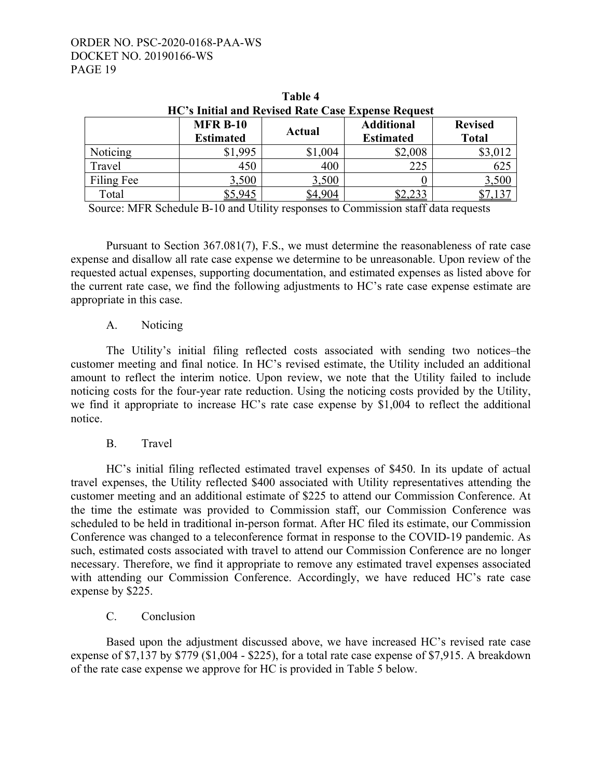| HC's Initial and Revised Rate Case Expense Request |                                     |         |                                       |                                |  |  |  |  |
|----------------------------------------------------|-------------------------------------|---------|---------------------------------------|--------------------------------|--|--|--|--|
|                                                    | <b>MFR B-10</b><br><b>Estimated</b> | Actual  | <b>Additional</b><br><b>Estimated</b> | <b>Revised</b><br><b>Total</b> |  |  |  |  |
| Noticing                                           | \$1,995                             | \$1,004 | \$2,008                               | \$3,012                        |  |  |  |  |
| Travel                                             | 450                                 | 400     | 225                                   | 625                            |  |  |  |  |
| Filing Fee                                         | 3,500                               | 3,500   |                                       | <u>3,500</u>                   |  |  |  |  |
| Total                                              |                                     | 4.904   |                                       |                                |  |  |  |  |

**Table 4** 

Source: MFR Schedule B-10 and Utility responses to Commission staff data requests

 Pursuant to Section 367.081(7), F.S., we must determine the reasonableness of rate case expense and disallow all rate case expense we determine to be unreasonable. Upon review of the requested actual expenses, supporting documentation, and estimated expenses as listed above for the current rate case, we find the following adjustments to HC's rate case expense estimate are appropriate in this case.

#### A. Noticing

 The Utility's initial filing reflected costs associated with sending two notices–the customer meeting and final notice. In HC's revised estimate, the Utility included an additional amount to reflect the interim notice. Upon review, we note that the Utility failed to include noticing costs for the four-year rate reduction. Using the noticing costs provided by the Utility, we find it appropriate to increase HC's rate case expense by \$1,004 to reflect the additional notice.

B. Travel

 HC's initial filing reflected estimated travel expenses of \$450. In its update of actual travel expenses, the Utility reflected \$400 associated with Utility representatives attending the customer meeting and an additional estimate of \$225 to attend our Commission Conference. At the time the estimate was provided to Commission staff, our Commission Conference was scheduled to be held in traditional in-person format. After HC filed its estimate, our Commission Conference was changed to a teleconference format in response to the COVID-19 pandemic. As such, estimated costs associated with travel to attend our Commission Conference are no longer necessary. Therefore, we find it appropriate to remove any estimated travel expenses associated with attending our Commission Conference. Accordingly, we have reduced HC's rate case expense by \$225.

## C. Conclusion

 Based upon the adjustment discussed above, we have increased HC's revised rate case expense of \$7,137 by \$779 (\$1,004 - \$225), for a total rate case expense of \$7,915. A breakdown of the rate case expense we approve for HC is provided in Table 5 below.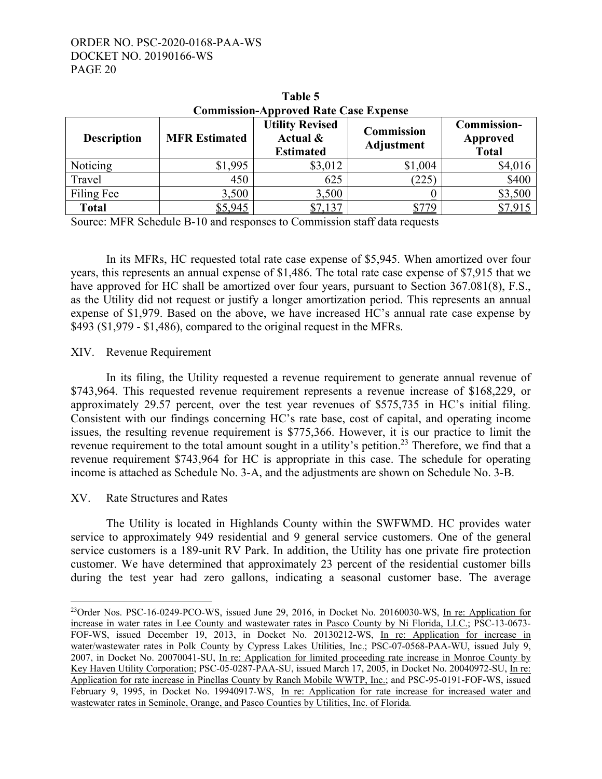| <b>Commission-Approved Rate Case Expense</b> |                      |                                                        |                                        |                                         |  |  |  |  |
|----------------------------------------------|----------------------|--------------------------------------------------------|----------------------------------------|-----------------------------------------|--|--|--|--|
| <b>Description</b>                           | <b>MFR Estimated</b> | <b>Utility Revised</b><br>Actual &<br><b>Estimated</b> | <b>Commission</b><br><b>Adjustment</b> | Commission-<br>Approved<br><b>Total</b> |  |  |  |  |
| Noticing                                     | \$1,995              | \$3,012                                                | \$1,004                                | \$4,016                                 |  |  |  |  |
| Travel                                       | 450                  | 625                                                    | (225)                                  | \$400                                   |  |  |  |  |
| Filing Fee                                   | 3,500                | 3,500                                                  |                                        | \$3,500                                 |  |  |  |  |
| <b>Total</b>                                 | \$5,945              | \$7,137                                                |                                        |                                         |  |  |  |  |

**Table 5** 

Source: MFR Schedule B-10 and responses to Commission staff data requests

 In its MFRs, HC requested total rate case expense of \$5,945. When amortized over four years, this represents an annual expense of \$1,486. The total rate case expense of \$7,915 that we have approved for HC shall be amortized over four years, pursuant to Section 367.081(8), F.S., as the Utility did not request or justify a longer amortization period. This represents an annual expense of \$1,979. Based on the above, we have increased HC's annual rate case expense by \$493 (\$1,979 - \$1,486), compared to the original request in the MFRs.

## XIV. Revenue Requirement

In its filing, the Utility requested a revenue requirement to generate annual revenue of \$743,964. This requested revenue requirement represents a revenue increase of \$168,229, or approximately 29.57 percent, over the test year revenues of \$575,735 in HC's initial filing. Consistent with our findings concerning HC's rate base, cost of capital, and operating income issues, the resulting revenue requirement is \$775,366. However, it is our practice to limit the revenue requirement to the total amount sought in a utility's petition.<sup>23</sup> Therefore, we find that a revenue requirement \$743,964 for HC is appropriate in this case. The schedule for operating income is attached as Schedule No. 3-A, and the adjustments are shown on Schedule No. 3-B.

## XV. Rate Structures and Rates

 $\overline{a}$ 

The Utility is located in Highlands County within the SWFWMD. HC provides water service to approximately 949 residential and 9 general service customers. One of the general service customers is a 189-unit RV Park. In addition, the Utility has one private fire protection customer. We have determined that approximately 23 percent of the residential customer bills during the test year had zero gallons, indicating a seasonal customer base. The average

<sup>&</sup>lt;sup>23</sup>Order Nos. PSC-16-0249-PCO-WS, issued June 29, 2016, in Docket No. 20160030-WS, In re: Application for increase in water rates in Lee County and wastewater rates in Pasco County by Ni Florida, LLC.; PSC-13-0673- FOF-WS, issued December 19, 2013, in Docket No. 20130212-WS, In re: Application for increase in water/wastewater rates in Polk County by Cypress Lakes Utilities, Inc.; PSC-07-0568-PAA-WU, issued July 9, 2007, in Docket No. 20070041-SU, In re: Application for limited proceeding rate increase in Monroe County by Key Haven Utility Corporation; PSC-05-0287-PAA-SU, issued March 17, 2005, in Docket No. 20040972-SU, In re: Application for rate increase in Pinellas County by Ranch Mobile WWTP, Inc.; and PSC-95-0191-FOF-WS, issued February 9, 1995, in Docket No. 19940917-WS, In re: Application for rate increase for increased water and wastewater rates in Seminole, Orange, and Pasco Counties by Utilities, Inc. of Florida*.*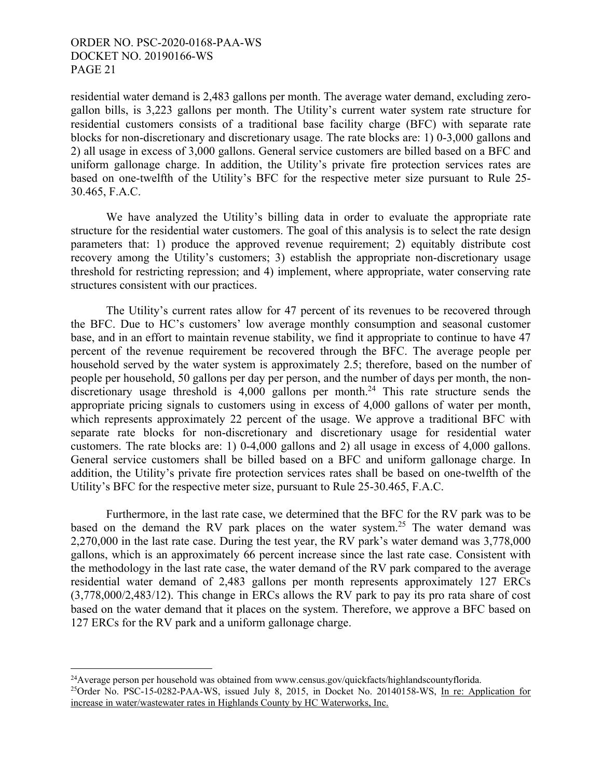<u>.</u>

residential water demand is 2,483 gallons per month. The average water demand, excluding zerogallon bills, is 3,223 gallons per month. The Utility's current water system rate structure for residential customers consists of a traditional base facility charge (BFC) with separate rate blocks for non-discretionary and discretionary usage. The rate blocks are: 1) 0-3,000 gallons and 2) all usage in excess of 3,000 gallons. General service customers are billed based on a BFC and uniform gallonage charge. In addition, the Utility's private fire protection services rates are based on one-twelfth of the Utility's BFC for the respective meter size pursuant to Rule 25- 30.465, F.A.C.

 We have analyzed the Utility's billing data in order to evaluate the appropriate rate structure for the residential water customers. The goal of this analysis is to select the rate design parameters that: 1) produce the approved revenue requirement; 2) equitably distribute cost recovery among the Utility's customers; 3) establish the appropriate non-discretionary usage threshold for restricting repression; and 4) implement, where appropriate, water conserving rate structures consistent with our practices.

 The Utility's current rates allow for 47 percent of its revenues to be recovered through the BFC. Due to HC's customers' low average monthly consumption and seasonal customer base, and in an effort to maintain revenue stability, we find it appropriate to continue to have 47 percent of the revenue requirement be recovered through the BFC. The average people per household served by the water system is approximately 2.5; therefore, based on the number of people per household, 50 gallons per day per person, and the number of days per month, the nondiscretionary usage threshold is  $4,000$  gallons per month.<sup>24</sup> This rate structure sends the appropriate pricing signals to customers using in excess of 4,000 gallons of water per month, which represents approximately 22 percent of the usage. We approve a traditional BFC with separate rate blocks for non-discretionary and discretionary usage for residential water customers. The rate blocks are: 1) 0-4,000 gallons and 2) all usage in excess of 4,000 gallons. General service customers shall be billed based on a BFC and uniform gallonage charge. In addition, the Utility's private fire protection services rates shall be based on one-twelfth of the Utility's BFC for the respective meter size, pursuant to Rule 25-30.465, F.A.C.

 Furthermore, in the last rate case, we determined that the BFC for the RV park was to be based on the demand the RV park places on the water system.<sup>25</sup> The water demand was 2,270,000 in the last rate case. During the test year, the RV park's water demand was 3,778,000 gallons, which is an approximately 66 percent increase since the last rate case. Consistent with the methodology in the last rate case, the water demand of the RV park compared to the average residential water demand of 2,483 gallons per month represents approximately 127 ERCs (3,778,000/2,483/12). This change in ERCs allows the RV park to pay its pro rata share of cost based on the water demand that it places on the system. Therefore, we approve a BFC based on 127 ERCs for the RV park and a uniform gallonage charge.

 $^{24}$ Average person per household was obtained from www.census.gov/quickfacts/highlandscountyflorida. <sup>25</sup>Order No. PSC-15-0282-PAA-WS, issued July 8, 2015, in Docket No. 20140158-WS, In re: Application for increase in water/wastewater rates in Highlands County by HC Waterworks, Inc.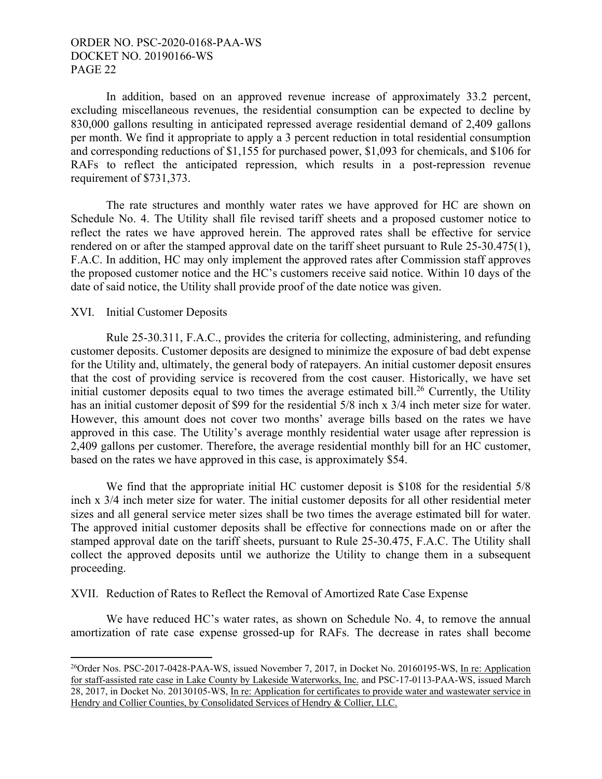In addition, based on an approved revenue increase of approximately 33.2 percent, excluding miscellaneous revenues, the residential consumption can be expected to decline by 830,000 gallons resulting in anticipated repressed average residential demand of 2,409 gallons per month. We find it appropriate to apply a 3 percent reduction in total residential consumption and corresponding reductions of \$1,155 for purchased power, \$1,093 for chemicals, and \$106 for RAFs to reflect the anticipated repression, which results in a post-repression revenue requirement of \$731,373.

 The rate structures and monthly water rates we have approved for HC are shown on Schedule No. 4. The Utility shall file revised tariff sheets and a proposed customer notice to reflect the rates we have approved herein. The approved rates shall be effective for service rendered on or after the stamped approval date on the tariff sheet pursuant to Rule 25-30.475(1), F.A.C. In addition, HC may only implement the approved rates after Commission staff approves the proposed customer notice and the HC's customers receive said notice. Within 10 days of the date of said notice, the Utility shall provide proof of the date notice was given.

#### XVI. Initial Customer Deposits

 $\overline{a}$ 

Rule 25-30.311, F.A.C., provides the criteria for collecting, administering, and refunding customer deposits. Customer deposits are designed to minimize the exposure of bad debt expense for the Utility and, ultimately, the general body of ratepayers. An initial customer deposit ensures that the cost of providing service is recovered from the cost causer. Historically, we have set initial customer deposits equal to two times the average estimated bill.<sup>26</sup> Currently, the Utility has an initial customer deposit of \$99 for the residential 5/8 inch x 3/4 inch meter size for water. However, this amount does not cover two months' average bills based on the rates we have approved in this case. The Utility's average monthly residential water usage after repression is 2,409 gallons per customer. Therefore, the average residential monthly bill for an HC customer, based on the rates we have approved in this case, is approximately \$54.

 We find that the appropriate initial HC customer deposit is \$108 for the residential 5/8 inch x 3/4 inch meter size for water. The initial customer deposits for all other residential meter sizes and all general service meter sizes shall be two times the average estimated bill for water. The approved initial customer deposits shall be effective for connections made on or after the stamped approval date on the tariff sheets, pursuant to Rule 25-30.475, F.A.C. The Utility shall collect the approved deposits until we authorize the Utility to change them in a subsequent proceeding.

XVII. Reduction of Rates to Reflect the Removal of Amortized Rate Case Expense

We have reduced HC's water rates, as shown on Schedule No. 4, to remove the annual amortization of rate case expense grossed-up for RAFs. The decrease in rates shall become

<sup>&</sup>lt;sup>26</sup>Order Nos. PSC-2017-0428-PAA-WS, issued November 7, 2017, in Docket No. 20160195-WS, In re: Application for staff-assisted rate case in Lake County by Lakeside Waterworks, Inc. and PSC-17-0113-PAA-WS, issued March 28, 2017, in Docket No. 20130105-WS, In re: Application for certificates to provide water and wastewater service in Hendry and Collier Counties, by Consolidated Services of Hendry & Collier, LLC.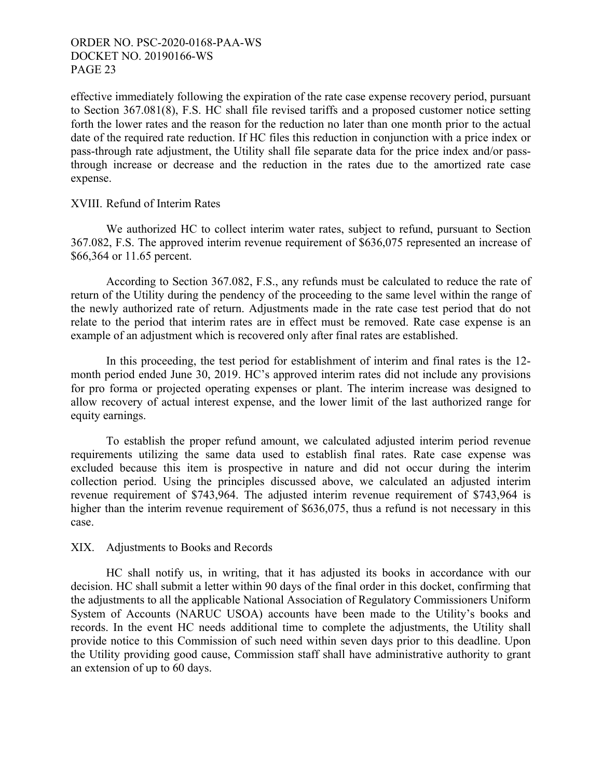effective immediately following the expiration of the rate case expense recovery period, pursuant to Section 367.081(8), F.S. HC shall file revised tariffs and a proposed customer notice setting forth the lower rates and the reason for the reduction no later than one month prior to the actual date of the required rate reduction. If HC files this reduction in conjunction with a price index or pass-through rate adjustment, the Utility shall file separate data for the price index and/or passthrough increase or decrease and the reduction in the rates due to the amortized rate case expense.

#### XVIII. Refund of Interim Rates

We authorized HC to collect interim water rates, subject to refund, pursuant to Section 367.082, F.S. The approved interim revenue requirement of \$636,075 represented an increase of \$66,364 or 11.65 percent.

 According to Section 367.082, F.S., any refunds must be calculated to reduce the rate of return of the Utility during the pendency of the proceeding to the same level within the range of the newly authorized rate of return. Adjustments made in the rate case test period that do not relate to the period that interim rates are in effect must be removed. Rate case expense is an example of an adjustment which is recovered only after final rates are established.

 In this proceeding, the test period for establishment of interim and final rates is the 12 month period ended June 30, 2019. HC's approved interim rates did not include any provisions for pro forma or projected operating expenses or plant. The interim increase was designed to allow recovery of actual interest expense, and the lower limit of the last authorized range for equity earnings.

 To establish the proper refund amount, we calculated adjusted interim period revenue requirements utilizing the same data used to establish final rates. Rate case expense was excluded because this item is prospective in nature and did not occur during the interim collection period. Using the principles discussed above, we calculated an adjusted interim revenue requirement of \$743,964. The adjusted interim revenue requirement of \$743,964 is higher than the interim revenue requirement of \$636,075, thus a refund is not necessary in this case.

#### XIX. Adjustments to Books and Records

HC shall notify us, in writing, that it has adjusted its books in accordance with our decision. HC shall submit a letter within 90 days of the final order in this docket, confirming that the adjustments to all the applicable National Association of Regulatory Commissioners Uniform System of Accounts (NARUC USOA) accounts have been made to the Utility's books and records. In the event HC needs additional time to complete the adjustments, the Utility shall provide notice to this Commission of such need within seven days prior to this deadline. Upon the Utility providing good cause, Commission staff shall have administrative authority to grant an extension of up to 60 days.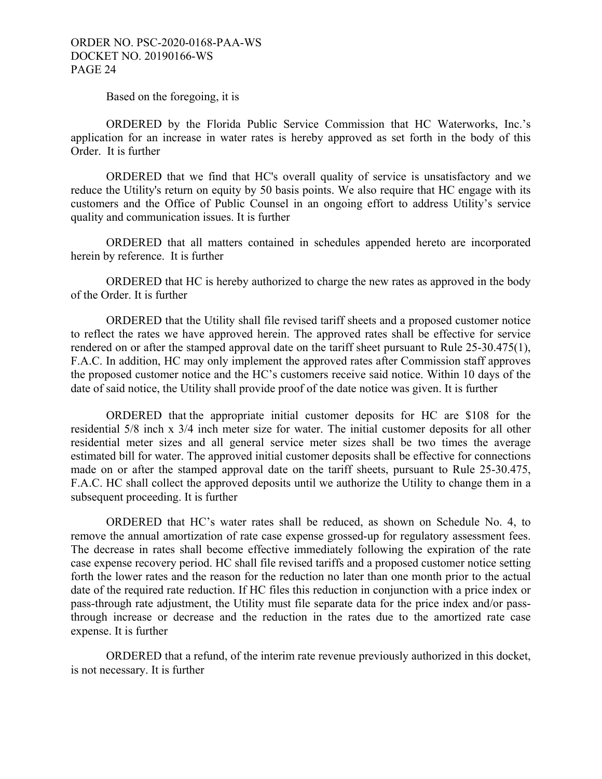Based on the foregoing, it is

ORDERED by the Florida Public Service Commission that HC Waterworks, Inc.'s application for an increase in water rates is hereby approved as set forth in the body of this Order. It is further

ORDERED that we find that HC's overall quality of service is unsatisfactory and we reduce the Utility's return on equity by 50 basis points. We also require that HC engage with its customers and the Office of Public Counsel in an ongoing effort to address Utility's service quality and communication issues. It is further

 ORDERED that all matters contained in schedules appended hereto are incorporated herein by reference. It is further

 ORDERED that HC is hereby authorized to charge the new rates as approved in the body of the Order. It is further

 ORDERED that the Utility shall file revised tariff sheets and a proposed customer notice to reflect the rates we have approved herein. The approved rates shall be effective for service rendered on or after the stamped approval date on the tariff sheet pursuant to Rule 25-30.475(1), F.A.C. In addition, HC may only implement the approved rates after Commission staff approves the proposed customer notice and the HC's customers receive said notice. Within 10 days of the date of said notice, the Utility shall provide proof of the date notice was given. It is further

ORDERED that the appropriate initial customer deposits for HC are \$108 for the residential 5/8 inch x 3/4 inch meter size for water. The initial customer deposits for all other residential meter sizes and all general service meter sizes shall be two times the average estimated bill for water. The approved initial customer deposits shall be effective for connections made on or after the stamped approval date on the tariff sheets, pursuant to Rule 25-30.475, F.A.C. HC shall collect the approved deposits until we authorize the Utility to change them in a subsequent proceeding. It is further

ORDERED that HC's water rates shall be reduced, as shown on Schedule No. 4, to remove the annual amortization of rate case expense grossed-up for regulatory assessment fees. The decrease in rates shall become effective immediately following the expiration of the rate case expense recovery period. HC shall file revised tariffs and a proposed customer notice setting forth the lower rates and the reason for the reduction no later than one month prior to the actual date of the required rate reduction. If HC files this reduction in conjunction with a price index or pass-through rate adjustment, the Utility must file separate data for the price index and/or passthrough increase or decrease and the reduction in the rates due to the amortized rate case expense. It is further

 ORDERED that a refund, of the interim rate revenue previously authorized in this docket, is not necessary. It is further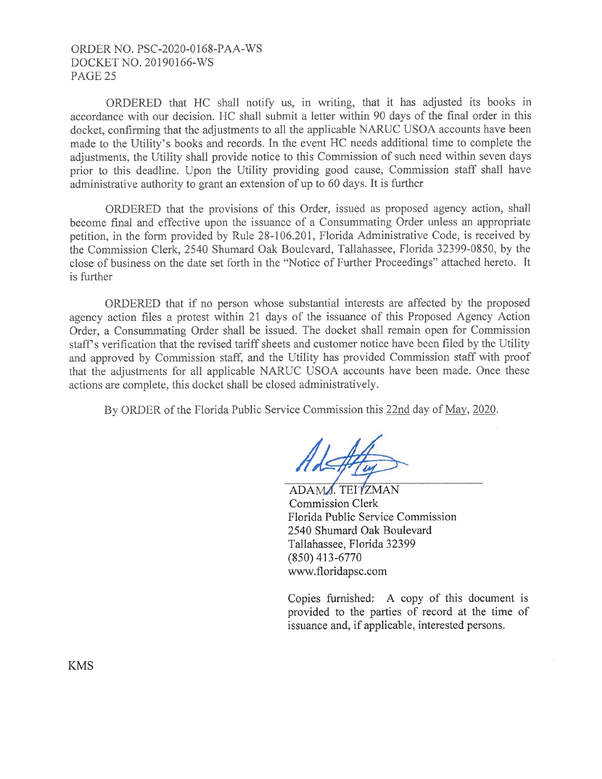## ORDER NO. PSC-2020-0168-PAA-WS DOCKET NO. 20190166-WS PAGE<sub>25</sub>

ORDERED that HC shall notify us, in writing, that it has adjusted its books in accordance with our decision. HC shall submit a letter within 90 days of the final order in this docket, confirming that the adjustments to all the applicable NARUC USOA accounts have been made to the Utility's books and records. In the event HC needs additional time to complete the adjustments, the Utility shall provide notice to this Commission of such need within seven days prior to this deadline. Upon the Utility providing good cause, Commission staff shall have administrative authority to grant an extension of up to 60 days. It is further

ORDERED that the provisions of this Order, issued as proposed agency action, shall become final and effective upon the issuance of a Consummating Order unless an appropriate petition, in the form provided by Rule 28-106.201, Florida Administrative Code, is received by the Commission Clerk, 2540 Shumard Oak Boulevard, Tallahassee, Florida 32399-0850, by the close of business on the date set forth in the "Notice of Further Proceedings" attached hereto. It is further

ORDERED that if no person whose substantial interests are affected by the proposed agency action files a protest within 21 days of the issuance of this Proposed Agency Action Order, a Consummating Order shall be issued. The docket shall remain open for Commission staff's verification that the revised tariff sheets and customer notice have been filed by the Utility and approved by Commission staff, and the Utility has provided Commission staff with proof that the adjustments for all applicable NARUC USOA accounts have been made. Once these actions are complete, this docket shall be closed administratively.

By ORDER of the Florida Public Service Commission this 22nd day of May, 2020.

ADAMA, TEITZMAN Commission Clerk Florida Public Service Commission 2540 Shumard Oak Boulevard Tallahassee, Florida 32399 (850) 413-6770 www.floridapsc.com

Copies furnished: A copy of this document is provided to the parties of record at the time of issuance and, if applicable, interested persons.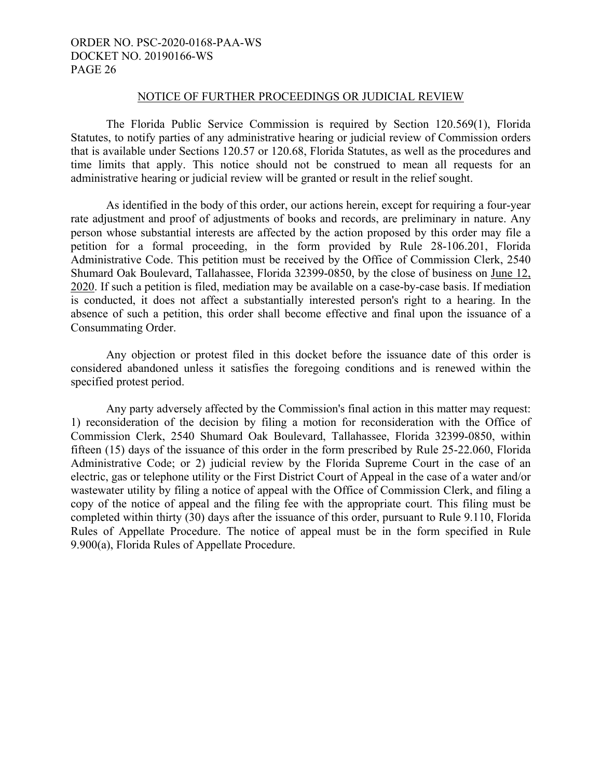#### NOTICE OF FURTHER PROCEEDINGS OR JUDICIAL REVIEW

The Florida Public Service Commission is required by Section 120.569(1), Florida Statutes, to notify parties of any administrative hearing or judicial review of Commission orders that is available under Sections 120.57 or 120.68, Florida Statutes, as well as the procedures and time limits that apply. This notice should not be construed to mean all requests for an administrative hearing or judicial review will be granted or result in the relief sought.

 As identified in the body of this order, our actions herein, except for requiring a four-year rate adjustment and proof of adjustments of books and records, are preliminary in nature. Any person whose substantial interests are affected by the action proposed by this order may file a petition for a formal proceeding, in the form provided by Rule 28-106.201, Florida Administrative Code. This petition must be received by the Office of Commission Clerk, 2540 Shumard Oak Boulevard, Tallahassee, Florida 32399-0850, by the close of business on June 12, 2020. If such a petition is filed, mediation may be available on a case-by-case basis. If mediation is conducted, it does not affect a substantially interested person's right to a hearing. In the absence of such a petition, this order shall become effective and final upon the issuance of a Consummating Order.

 Any objection or protest filed in this docket before the issuance date of this order is considered abandoned unless it satisfies the foregoing conditions and is renewed within the specified protest period.

 Any party adversely affected by the Commission's final action in this matter may request: 1) reconsideration of the decision by filing a motion for reconsideration with the Office of Commission Clerk, 2540 Shumard Oak Boulevard, Tallahassee, Florida 32399-0850, within fifteen (15) days of the issuance of this order in the form prescribed by Rule 25-22.060, Florida Administrative Code; or 2) judicial review by the Florida Supreme Court in the case of an electric, gas or telephone utility or the First District Court of Appeal in the case of a water and/or wastewater utility by filing a notice of appeal with the Office of Commission Clerk, and filing a copy of the notice of appeal and the filing fee with the appropriate court. This filing must be completed within thirty (30) days after the issuance of this order, pursuant to Rule 9.110, Florida Rules of Appellate Procedure. The notice of appeal must be in the form specified in Rule 9.900(a), Florida Rules of Appellate Procedure.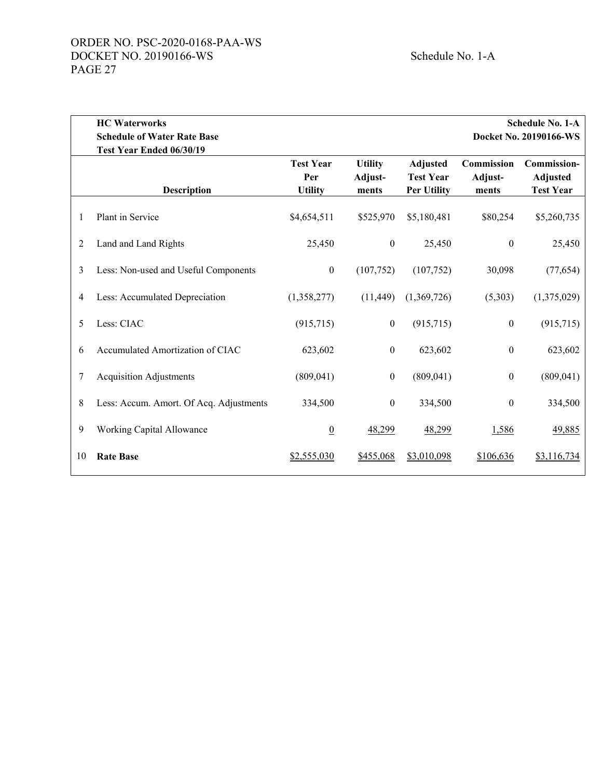|                | <b>HC</b> Waterworks<br><b>Schedule of Water Rate Base</b> |                                           | <b>Schedule No. 1-A</b><br>Docket No. 20190166-WS |                                                           |                                       |                                                           |
|----------------|------------------------------------------------------------|-------------------------------------------|---------------------------------------------------|-----------------------------------------------------------|---------------------------------------|-----------------------------------------------------------|
|                | Test Year Ended 06/30/19                                   |                                           |                                                   |                                                           |                                       |                                                           |
|                | <b>Description</b>                                         | <b>Test Year</b><br>Per<br><b>Utility</b> | <b>Utility</b><br>Adjust-<br>ments                | <b>Adjusted</b><br><b>Test Year</b><br><b>Per Utility</b> | <b>Commission</b><br>Adjust-<br>ments | <b>Commission-</b><br><b>Adjusted</b><br><b>Test Year</b> |
| 1              | Plant in Service                                           | \$4,654,511                               | \$525,970                                         | \$5,180,481                                               | \$80,254                              | \$5,260,735                                               |
| 2              | Land and Land Rights                                       | 25,450                                    | $\boldsymbol{0}$                                  | 25,450                                                    | $\boldsymbol{0}$                      | 25,450                                                    |
| 3              | Less: Non-used and Useful Components                       | $\boldsymbol{0}$                          | (107, 752)                                        | (107,752)                                                 | 30,098                                | (77, 654)                                                 |
| $\overline{4}$ | Less: Accumulated Depreciation                             | (1,358,277)                               | (11, 449)                                         | (1,369,726)                                               | (5,303)                               | (1,375,029)                                               |
| 5              | Less: CIAC                                                 | (915, 715)                                | $\theta$                                          | (915, 715)                                                | $\boldsymbol{0}$                      | (915, 715)                                                |
| 6              | Accumulated Amortization of CIAC                           | 623,602                                   | $\mathbf{0}$                                      | 623,602                                                   | $\boldsymbol{0}$                      | 623,602                                                   |
| 7              | <b>Acquisition Adjustments</b>                             | (809, 041)                                | $\boldsymbol{0}$                                  | (809, 041)                                                | $\boldsymbol{0}$                      | (809, 041)                                                |
| 8              | Less: Accum. Amort. Of Acq. Adjustments                    | 334,500                                   | $\mathbf{0}$                                      | 334,500                                                   | $\boldsymbol{0}$                      | 334,500                                                   |
| 9              | Working Capital Allowance                                  | $\overline{0}$                            | 48,299                                            | 48,299                                                    | 1,586                                 | 49,885                                                    |
| 10             | <b>Rate Base</b>                                           | \$2,555,030                               | \$455,068                                         | \$3,010,098                                               | \$106,636                             | \$3,116,734                                               |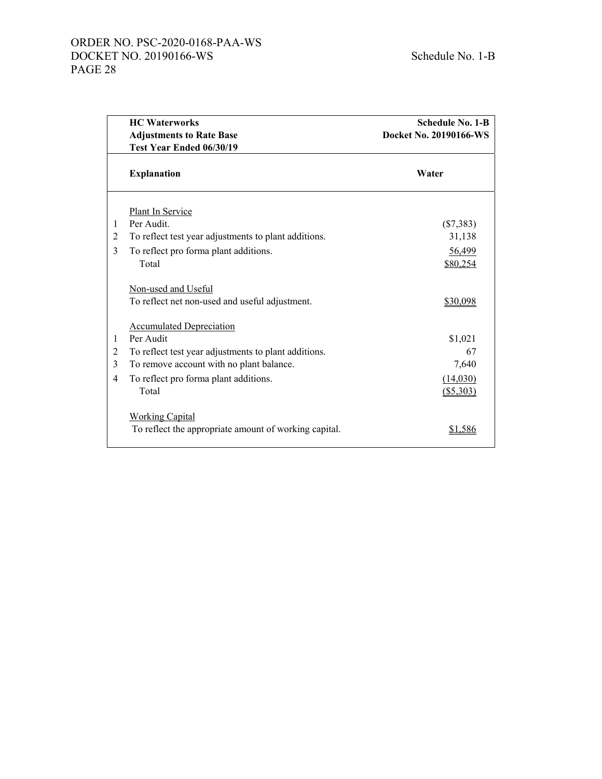# ORDER NO. PSC-2020-0168-PAA-WS DOCKET NO. 20190166-WS Schedule No. 1-B PAGE 28

|                | <b>Adjustments to Rate Base</b><br>Test Year Ended 06/30/19                     | Docket No. 20190166-WS |
|----------------|---------------------------------------------------------------------------------|------------------------|
|                |                                                                                 |                        |
|                |                                                                                 |                        |
|                | <b>Explanation</b>                                                              | Water                  |
|                | Plant In Service                                                                |                        |
| 1              | Per Audit.                                                                      | $(\$7,383)$            |
| 2              | To reflect test year adjustments to plant additions.                            | 31,138                 |
| 3              | To reflect pro forma plant additions.                                           | 56,499                 |
|                | Total                                                                           | \$80,254               |
|                | Non-used and Useful<br>To reflect net non-used and useful adjustment.           | \$30,098               |
|                | <b>Accumulated Depreciation</b>                                                 |                        |
| 1              | Per Audit                                                                       | \$1,021                |
| $\overline{c}$ | To reflect test year adjustments to plant additions.                            | 67                     |
| 3              | To remove account with no plant balance.                                        | 7,640                  |
| $\overline{4}$ | To reflect pro forma plant additions.                                           | (14,030)               |
|                | Total                                                                           | $($ \$5,303)           |
|                | <b>Working Capital</b><br>To reflect the appropriate amount of working capital. | <u>\$1,586</u>         |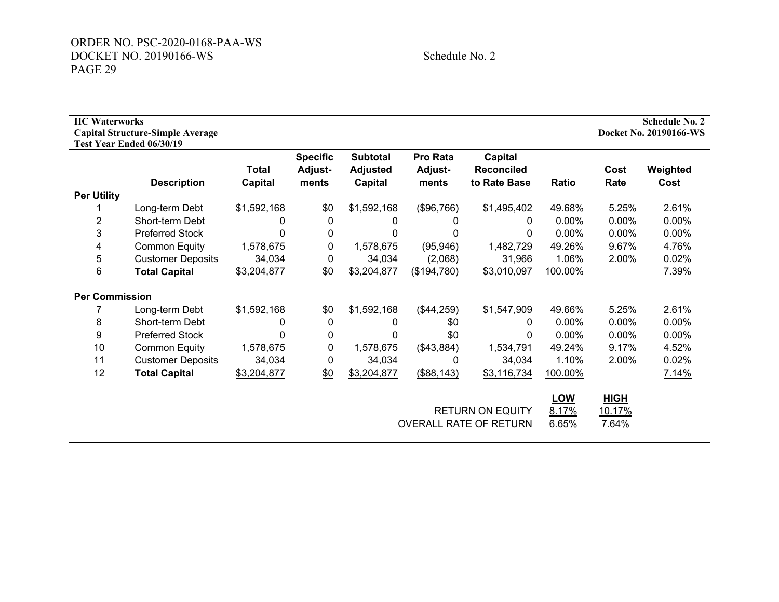Schedule No. 2

| <b>HC</b> Waterworks  | <b>Capital Structure-Simple Average</b><br>Test Year Ended 06/30/19 |                                |                                     |                                               |                              |                                                   |                              |                                | <b>Schedule No. 2</b><br>Docket No. 20190166-WS |
|-----------------------|---------------------------------------------------------------------|--------------------------------|-------------------------------------|-----------------------------------------------|------------------------------|---------------------------------------------------|------------------------------|--------------------------------|-------------------------------------------------|
|                       | <b>Description</b>                                                  | <b>Total</b><br><b>Capital</b> | <b>Specific</b><br>Adjust-<br>ments | <b>Subtotal</b><br><b>Adjusted</b><br>Capital | Pro Rata<br>Adjust-<br>ments | Capital<br><b>Reconciled</b><br>to Rate Base      | Ratio                        | Cost<br>Rate                   | Weighted<br>Cost                                |
| <b>Per Utility</b>    |                                                                     |                                |                                     |                                               |                              |                                                   |                              |                                |                                                 |
|                       | Long-term Debt                                                      | \$1,592,168                    | \$0                                 | \$1,592,168                                   | (\$96,766)                   | \$1,495,402                                       | 49.68%                       | 5.25%                          | 2.61%                                           |
| $\overline{2}$        | Short-term Debt                                                     | 0                              | $\mathbf{0}$                        | 0                                             | 0                            | 0                                                 | 0.00%                        | 0.00%                          | 0.00%                                           |
| 3                     | <b>Preferred Stock</b>                                              | 0                              | 0                                   | 0                                             | 0                            | 0                                                 | $0.00\%$                     | $0.00\%$                       | 0.00%                                           |
| 4                     | <b>Common Equity</b>                                                | 1,578,675                      | 0                                   | 1,578,675                                     | (95, 946)                    | 1,482,729                                         | 49.26%                       | 9.67%                          | 4.76%                                           |
| 5                     | <b>Customer Deposits</b>                                            | 34,034                         | 0                                   | 34,034                                        | (2,068)                      | 31,966                                            | 1.06%                        | 2.00%                          | 0.02%                                           |
| 6                     | <b>Total Capital</b>                                                | \$3,204,877                    | \$0                                 | \$3,204,877                                   | (\$194,780)                  | \$3,010,097                                       | 100.00%                      |                                | 7.39%                                           |
| <b>Per Commission</b> |                                                                     |                                |                                     |                                               |                              |                                                   |                              |                                |                                                 |
|                       | Long-term Debt                                                      | \$1,592,168                    | \$0                                 | \$1,592,168                                   | (\$44,259)                   | \$1,547,909                                       | 49.66%                       | 5.25%                          | 2.61%                                           |
| 8                     | Short-term Debt                                                     | 0                              | 0                                   | 0                                             | \$0                          | 0                                                 | $0.00\%$                     | 0.00%                          | 0.00%                                           |
| 9                     | <b>Preferred Stock</b>                                              | $\Omega$                       | 0                                   | 0                                             | \$0                          | 0                                                 | 0.00%                        | $0.00\%$                       | 0.00%                                           |
| 10                    | <b>Common Equity</b>                                                | 1,578,675                      | 0                                   | 1,578,675                                     | (\$43,884)                   | 1,534,791                                         | 49.24%                       | 9.17%                          | 4.52%                                           |
| 11                    | <b>Customer Deposits</b>                                            | 34,034                         | <u>0</u>                            | 34,034                                        | $\overline{0}$               | 34,034                                            | 1.10%                        | 2.00%                          | 0.02%                                           |
| 12                    | <b>Total Capital</b>                                                | \$3,204,877                    | \$0                                 | \$3,204,877                                   | ( \$88, 143)                 | \$3,116,734                                       | 100.00%                      |                                | 7.14%                                           |
|                       |                                                                     |                                |                                     |                                               |                              | <b>RETURN ON EQUITY</b><br>OVERALL RATE OF RETURN | <b>LOW</b><br>8.17%<br>6.65% | <b>HIGH</b><br>10.17%<br>7.64% |                                                 |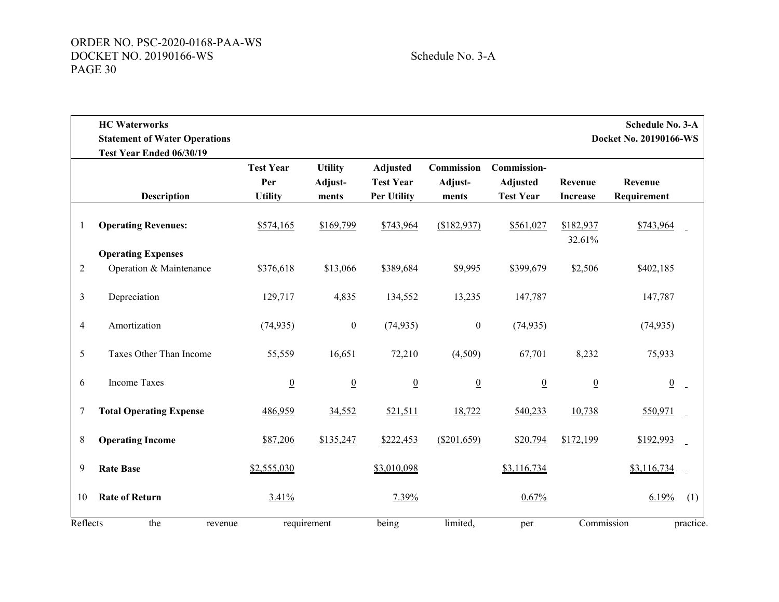|                | <b>HC</b> Waterworks<br><b>Statement of Water Operations</b><br>Test Year Ended 06/30/19 |                                           |                                    |                                                           |                                |                                                           |                            | <b>Schedule No. 3-A</b><br>Docket No. 20190166-WS |           |
|----------------|------------------------------------------------------------------------------------------|-------------------------------------------|------------------------------------|-----------------------------------------------------------|--------------------------------|-----------------------------------------------------------|----------------------------|---------------------------------------------------|-----------|
|                | <b>Description</b>                                                                       | <b>Test Year</b><br>Per<br><b>Utility</b> | <b>Utility</b><br>Adjust-<br>ments | <b>Adjusted</b><br><b>Test Year</b><br><b>Per Utility</b> | Commission<br>Adjust-<br>ments | <b>Commission-</b><br><b>Adjusted</b><br><b>Test Year</b> | Revenue<br><b>Increase</b> | Revenue<br>Requirement                            |           |
| 1              | <b>Operating Revenues:</b>                                                               | \$574,165                                 | \$169,799                          | \$743,964                                                 | (\$182,937)                    | \$561,027                                                 | \$182,937<br>32.61%        | \$743,964                                         |           |
|                | <b>Operating Expenses</b>                                                                |                                           |                                    |                                                           |                                |                                                           |                            |                                                   |           |
| $\overline{2}$ | Operation & Maintenance                                                                  | \$376,618                                 | \$13,066                           | \$389,684                                                 | \$9,995                        | \$399,679                                                 | \$2,506                    | \$402,185                                         |           |
| $\mathfrak{Z}$ | Depreciation                                                                             | 129,717                                   | 4,835                              | 134,552                                                   | 13,235                         | 147,787                                                   |                            | 147,787                                           |           |
| $\overline{4}$ | Amortization                                                                             | (74, 935)                                 | $\boldsymbol{0}$                   | (74, 935)                                                 | $\boldsymbol{0}$               | (74, 935)                                                 |                            | (74, 935)                                         |           |
| 5              | Taxes Other Than Income                                                                  | 55,559                                    | 16,651                             | 72,210                                                    | (4,509)                        | 67,701                                                    | 8,232                      | 75,933                                            |           |
| 6              | <b>Income Taxes</b>                                                                      | $\overline{0}$                            | $\underline{0}$                    | $\overline{0}$                                            | $\underline{0}$                | $\underline{0}$                                           | $\underline{0}$            | $\underline{0}$                                   |           |
| 7              | <b>Total Operating Expense</b>                                                           | 486,959                                   | 34,552                             | 521,511                                                   | 18,722                         | 540,233                                                   | 10,738                     | 550,971                                           |           |
| 8              | <b>Operating Income</b>                                                                  | \$87,206                                  | \$135,247                          | \$222,453                                                 | (\$201,659)                    | \$20,794                                                  | \$172,199                  | \$192,993                                         |           |
| 9              | <b>Rate Base</b>                                                                         | \$2,555,030                               |                                    | \$3,010,098                                               |                                | \$3,116,734                                               |                            | \$3,116,734                                       |           |
| 10             | <b>Rate of Return</b>                                                                    | 3.41%                                     |                                    | 7.39%                                                     |                                | 0.67%                                                     |                            | 6.19%                                             | (1)       |
| Reflects       | the<br>revenue                                                                           |                                           | requirement                        | being                                                     | limited,                       | per                                                       | Commission                 |                                                   | practice. |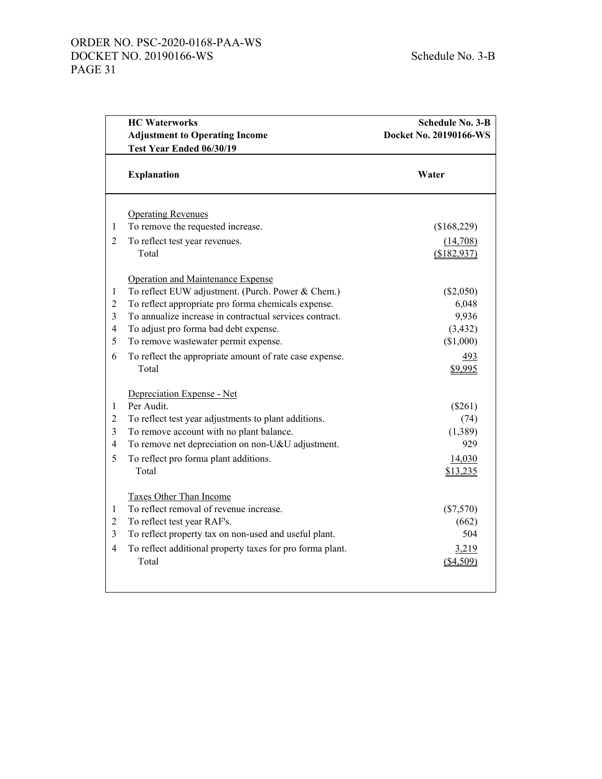# ORDER NO. PSC-2020-0168-PAA-WS DOCKET NO. 20190166-WS Schedule No. 3-B PAGE 31

|                | <b>HC Waterworks</b>                                      | <b>Schedule No. 3-B</b> |  |  |  |
|----------------|-----------------------------------------------------------|-------------------------|--|--|--|
|                | <b>Adjustment to Operating Income</b>                     | Docket No. 20190166-WS  |  |  |  |
|                | Test Year Ended 06/30/19                                  |                         |  |  |  |
|                | <b>Explanation</b>                                        | Water                   |  |  |  |
|                | <b>Operating Revenues</b>                                 |                         |  |  |  |
| $\mathbf{1}$   | To remove the requested increase.                         | (\$168,229)             |  |  |  |
| $\overline{2}$ | To reflect test year revenues.                            | (14,708)                |  |  |  |
|                | Total                                                     | (\$182,937)             |  |  |  |
|                | Operation and Maintenance Expense                         |                         |  |  |  |
| $\mathbf{1}$   | To reflect EUW adjustment. (Purch. Power & Chem.)         | $(\$2,050)$             |  |  |  |
| $\overline{2}$ | To reflect appropriate pro forma chemicals expense.       | 6,048                   |  |  |  |
| 3              | To annualize increase in contractual services contract.   | 9,936                   |  |  |  |
| $\overline{4}$ | To adjust pro forma bad debt expense.                     | (3, 432)                |  |  |  |
| 5              | To remove wastewater permit expense.                      | (\$1,000)               |  |  |  |
| 6              | To reflect the appropriate amount of rate case expense.   | 493                     |  |  |  |
|                | Total                                                     | \$9,995                 |  |  |  |
|                | Depreciation Expense - Net                                |                         |  |  |  |
| $\mathbf{1}$   | Per Audit.                                                | (\$261)                 |  |  |  |
| $\mathfrak 2$  | To reflect test year adjustments to plant additions.      | (74)                    |  |  |  |
| 3              | To remove account with no plant balance.                  | (1,389)                 |  |  |  |
| $\overline{4}$ | To remove net depreciation on non-U&U adjustment.         | 929                     |  |  |  |
| 5              | To reflect pro forma plant additions.                     | 14,030                  |  |  |  |
|                | Total                                                     | \$13,235                |  |  |  |
|                | Taxes Other Than Income                                   |                         |  |  |  |
| $\mathbf{1}$   | To reflect removal of revenue increase.                   | $(\$7,570)$             |  |  |  |
| $\overline{2}$ | To reflect test year RAF's.                               | (662)                   |  |  |  |
| 3              | To reflect property tax on non-used and useful plant.     | 504                     |  |  |  |
| $\overline{4}$ | To reflect additional property taxes for pro forma plant. | 3,219                   |  |  |  |
|                | Total                                                     | (\$4,509)               |  |  |  |
|                |                                                           |                         |  |  |  |